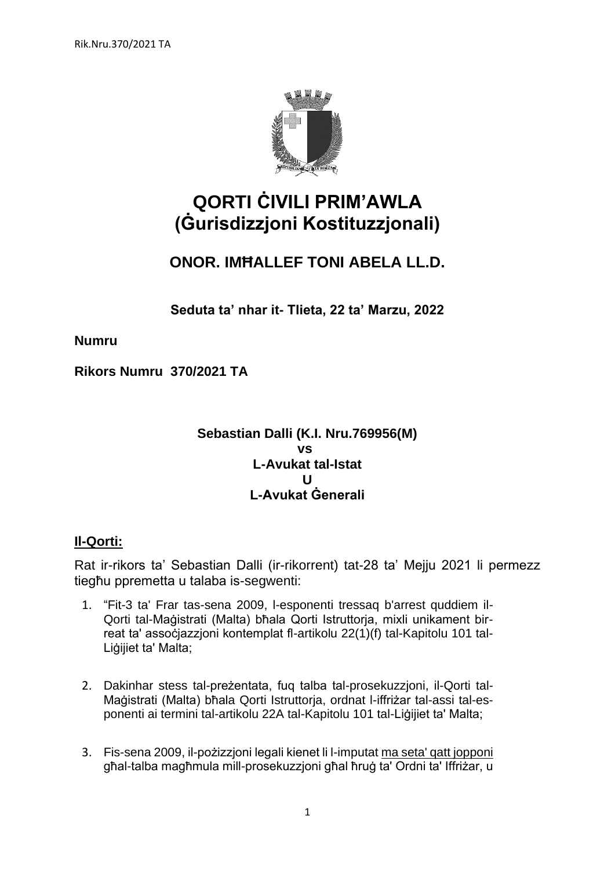

# **QORTI ĊIVILI PRIM'AWLA (Ġurisdizzjoni Kostituzzjonali)**

# **ONOR. IMĦALLEF TONI ABELA LL.D.**

**Seduta ta' nhar it- Tlieta, 22 ta' Marzu, 2022**

**Numru** 

**Rikors Numru 370/2021 TA**

# **Sebastian Dalli (K.I. Nru.769956(M) vs L-Avukat tal-Istat U L-Avukat Ġenerali**

# **Il-Qorti:**

Rat ir-rikors ta' Sebastian Dalli (ir-rikorrent) tat-28 ta' Mejju 2021 li permezz tiegħu ppremetta u talaba is-segwenti:

- 1. "Fit-3 ta' Frar tas-sena 2009, l-esponenti tressaq b'arrest quddiem il-Qorti tal-Maġistrati (Malta) bħala Qorti Istruttorja, mixli unikament birreat ta' assoċjazzjoni kontemplat fl-artikolu 22(1)(f) tal-Kapitolu 101 tal-Liġijiet ta' Malta;
- 2. Dakinhar stess tal-preżentata, fuq talba tal-prosekuzzjoni, il-Qorti tal-Maġistrati (Malta) bħala Qorti Istruttorja, ordnat l-iffriżar tal-assi tal-esponenti ai termini tal-artikolu 22A tal-Kapitolu 101 tal-Liġijiet ta' Malta;
- 3. Fis-sena 2009, il-pożizzjoni legali kienet li l-imputat ma seta' qatt jopponi għal-talba magħmula mill-prosekuzzjoni għal ħruġ ta' Ordni ta' Iffriżar, u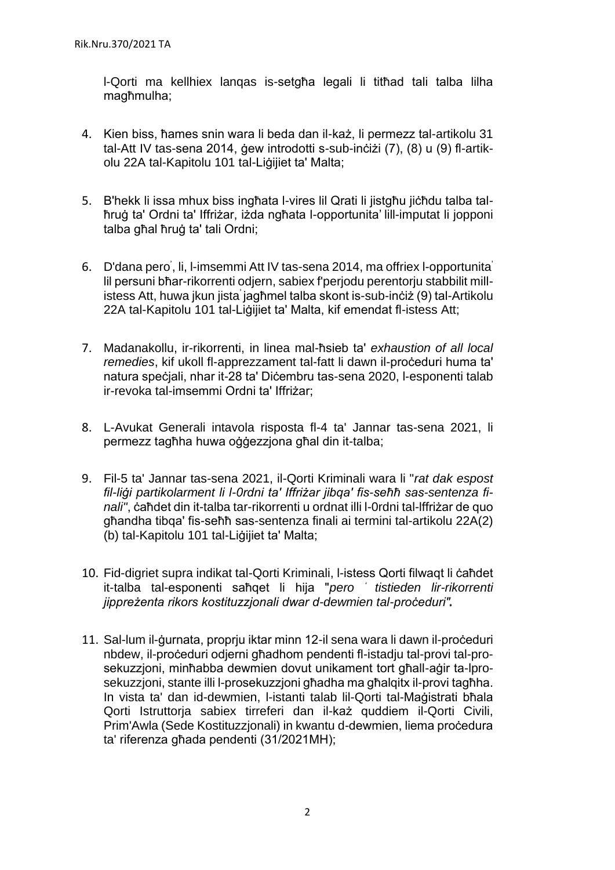l-Qorti ma kellhiex lanqas is-setgħa legali li titħad tali talba lilha magħmulha;

- 4. Kien biss, ħames snin wara li beda dan il-każ, li permezz tal-artikolu 31 tal-Att IV tas-sena 2014, ġew introdotti s-sub-inċiżi (7), (8) u (9) fl-artikolu 22A tal-Kapitolu 101 tal-Liġijiet ta' Malta;
- 5. B'hekk li issa mhux biss ingħata l-vires lil Qrati li jistgħu jiċħdu talba talħruġ ta' Ordni ta' Iffriżar, iżda ngħata l-opportunita' lill-imputat li jopponi talba għal ħruġ ta' tali Ordni;
- 6. D'dana pero<sup>'</sup>, li, l-imsemmi Att IV tas-sena 2014, ma offriex l-opportunita<sup>'</sup> lil persuni bħar-rikorrenti odjern, sabiex f'perjodu perentorju stabbilit millistess Att, huwa jkun jista' jagħmel talba skont is-sub-inċiż (9) tal-Artikolu 22A tal-Kapitolu 101 tal-Liġijiet ta' Malta, kif emendat fl-istess Att;
- 7. Madanakollu, ir-rikorrenti, in linea mal-ħsieb ta' *exhaustion of all local remedies*, kif ukoll fl-apprezzament tal-fatt li dawn il-proċeduri huma ta' natura speċjali, nhar it-28 ta' Diċembru tas-sena 2020, l-esponenti talab ir-revoka tal-imsemmi Ordni ta' Iffriżar;
- 8. L-Avukat Generali intavola risposta fl-4 ta' Jannar tas-sena 2021, li permezz tagħha huwa oġġezzjona għal din it-talba;
- 9. Fil-5 ta' Jannar tas-sena 2021, il-Qorti Kriminali wara li "*rat dak espost fil-liġi partikolarment li l-0rdni ta' Iffriżar jibqa' fis-seħħ sas-sentenza finali"*, ċaħdet din it-talba tar-rikorrenti u ordnat illi l-0rdni tal-lffriżar de quo għandha tibqa' fis-seħħ sas-sentenza finali ai termini tal-artikolu 22A(2) (b) tal-Kapitolu 101 tal-Liġijiet ta' Malta;
- 10. Fid-digriet supra indikat tal-Qorti Kriminali, l-istess Qorti filwaqt li ċaħdet it-talba tal-esponenti saħqet li hija "*pero ' tistieden lir-rikorrenti jippreżenta rikors kostituzzjonali dwar d-dewmien tal-proċeduri"*
- 11. Sal-lum il-ġurnata, proprju iktar minn 12-il sena wara li dawn il-proċeduri nbdew, il-proċeduri odjerni għadhom pendenti fl-istadju tal-provi tal-prosekuzzioni, minħabba dewmien dovut unikament tort għall-aġir ta-lprosekuzzjoni, stante illi l-prosekuzzjoni għadha ma għalqitx il-provi tagħha. In vista ta' dan id-dewmien, I-istanti talab lil-Qorti tal-Maġistrati bħala Qorti Istruttorja sabiex tirreferi dan il-każ quddiem il-Qorti Civili, Prim'Awla (Sede Kostituzzjonali) in kwantu d-dewmien, liema proċedura ta' riferenza għada pendenti (31/2021MH);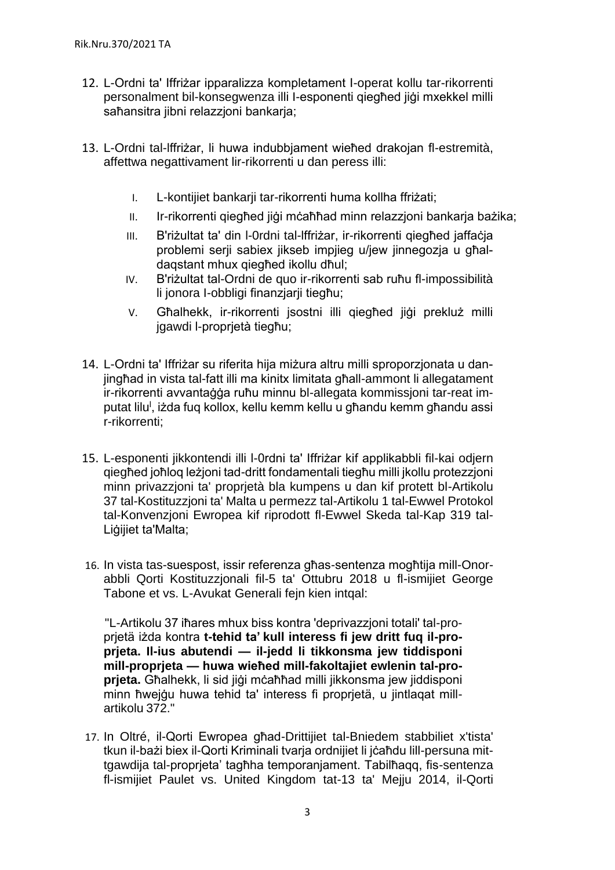- 12. L-Ordni ta' Iffriżar ipparalizza kompletament I-operat kollu tar-rikorrenti personalment bil-konsegwenza illi I-esponenti qiegħed jiġi mxekkel milli saħansitra jibni relazzjoni bankarja;
- 13. L-Ordni tal-lffriżar, li huwa indubbjament wieħed drakojan fl-estremità, affettwa negattivament lir-rikorrenti u dan peress illi:
	- I. L-kontijiet bankarji tar-rikorrenti huma kollha ffriżati;
	- II. Ir-rikorrenti qiegħed jiġi mċaħħad minn relazzjoni bankarja bażika;
	- III. B'riżultat ta' din l-0rdni tal-lffriżar, ir-rikorrenti qiegħed jaffaċja problemi serji sabiex jikseb impjieg u/jew jinnegozja u għaldaqstant mhux qiegħed ikollu dħul;
	- IV. B'riżultat tal-Ordni de quo ir-rikorrenti sab ruħu fl-impossibilità li jonora I-obbligi finanzjarji tiegħu;
	- V. Għalhekk, ir-rikorrenti isostni illi giegħed ijġi prekluż milli jgawdi l-proprjetà tiegħu;
- 14. L-Ordni ta' Iffriżar su riferita hija miżura altru milli sproporzjonata u danjingħad in vista tal-fatt illi ma kinitx limitata għall-ammont li allegatament ir-rikorrenti avvantaġġa ruħu minnu bl-allegata kommissjoni tar-reat imputat lilu<sup>i</sup>, iżda fuq kollox, kellu kemm kellu u għandu kemm għandu assi r-rikorrenti;
- 15. L-esponenti jikkontendi illi l-0rdni ta' Iffriżar kif applikabbli fil-kai odjern qiegħed joħloq leżjoni tad-dritt fondamentali tiegħu milli jkollu protezzjoni minn privazzjoni ta' proprjetà bla kumpens u dan kif protett bl-Artikolu 37 tal-Kostituzzjoni ta' Malta u permezz tal-Artikolu 1 tal-Ewwel Protokol tal-Konvenzjoni Ewropea kif riprodott fl-Ewwel Skeda tal-Kap 319 tal-Liġijiet ta'Malta;
- 16. In vista tas-suespost, issir referenza għas-sentenza mogħtija mill-Onorabbli Qorti Kostituzzjonali fil-5 ta' Ottubru 2018 u fl-ismijiet George Tabone et vs. L-Avukat Generali fejn kien intqal:

"L-Artikolu 37 iħares mhux biss kontra 'deprivazzjoni totali' tal-proprjetä iżda kontra **t-tehid ta' kull interess fi jew dritt fuq il-proprjeta. Il-ius abutendi — il-jedd li tikkonsma jew tiddisponi mill-proprjeta — huwa wieħed mill-fakoltajiet ewlenin tal-proprjeta.** Għalhekk, li sid jiġi mċaħħad milli jikkonsma jew jiddisponi minn ħwejġu huwa tehid ta' interess fi proprjetä, u jintlaqat millartikolu 372."

17. In Oltré, il-Qorti Ewropea għad-Drittijiet tal-Bniedem stabbiliet x'tista' tkun il-bażi biex il-Qorti Kriminali tvarja ordnijiet li jċaħdu lill-persuna mittgawdija tal-proprjeta' tagħha temporanjament. Tabilħaqq, fis-sentenza fl-ismijiet Paulet vs. United Kingdom tat-13 ta' Mejju 2014, il-Qorti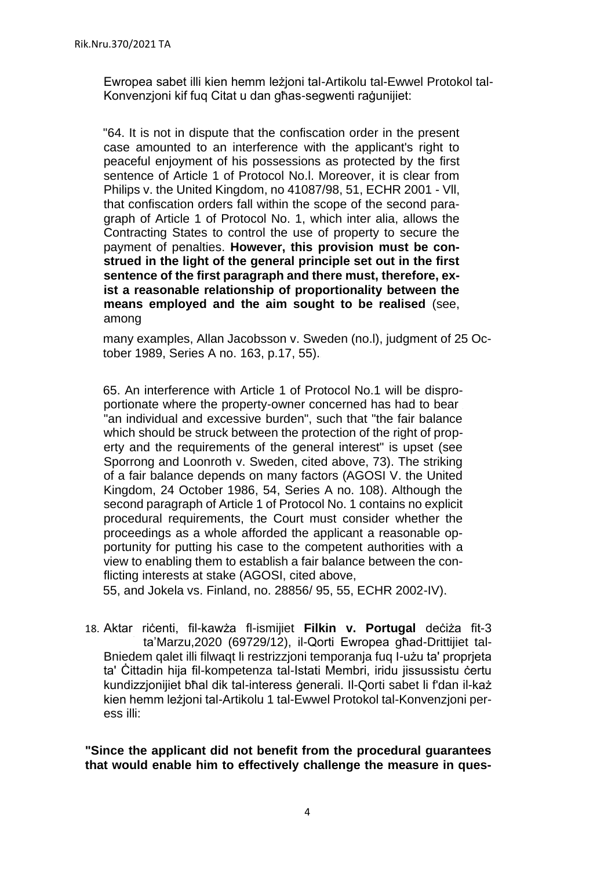Ewropea sabet illi kien hemm leżjoni tal-Artikolu tal-Ewwel Protokol tal-Konvenzjoni kif fuq Citat u dan għas-segwenti raġunijiet:

"64. It is not in dispute that the confiscation order in the present case amounted to an interference with the applicant's right to peaceful enjoyment of his possessions as protected by the first sentence of Article 1 of Protocol No.l. Moreover, it is clear from Philips v. the United Kingdom, no 41087/98, 51, ECHR 2001 - Vll, that confiscation orders fall within the scope of the second paragraph of Article 1 of Protocol No. 1, which inter alia, allows the Contracting States to control the use of property to secure the payment of penalties. **However, this provision must be construed in the light of the general principle set out in the first sentence of the first paragraph and there must, therefore, exist a reasonable relationship of proportionality between the means employed and the aim sought to be realised** (see, among

many examples, Allan Jacobsson v. Sweden (no.l), judgment of 25 October 1989, Series A no. 163, p.17, 55).

65. An interference with Article 1 of Protocol No.1 will be disproportionate where the property-owner concerned has had to bear "an individual and excessive burden", such that "the fair balance which should be struck between the protection of the right of property and the requirements of the general interest" is upset (see Sporrong and Loonroth v. Sweden, cited above, 73). The striking of a fair balance depends on many factors (AGOSI V. the United Kingdom, 24 October 1986, 54, Series A no. 108). Although the second paragraph of Article 1 of Protocol No. 1 contains no explicit procedural requirements, the Court must consider whether the proceedings as a whole afforded the applicant a reasonable opportunity for putting his case to the competent authorities with a view to enabling them to establish a fair balance between the conflicting interests at stake (AGOSI, cited above,

55, and Jokela vs. Finland, no. 28856/ 95, 55, ECHR 2002-IV).

18. Aktar riċenti, fil-kawża fl-ismijiet **Filkin v. Portugal** deċiża fit-3 ta'Marzu,2020 (69729/12), il-Qorti Ewropea għad-Drittijiet tal-Bniedem qalet illi filwaqt li restrizzjoni temporanja fuq I-użu ta' proprjeta ta' Ċittadin hija fil-kompetenza tal-Istati Membri, iridu jissussistu ċertu kundizzjonijiet bħal dik tal-interess ġenerali. Il-Qorti sabet li f'dan il-każ kien hemm leżjoni tal-Artikolu 1 tal-Ewwel Protokol tal-Konvenzjoni peress illi:

**"Since the applicant did not benefit from the procedural guarantees that would enable him to effectively challenge the measure in ques-**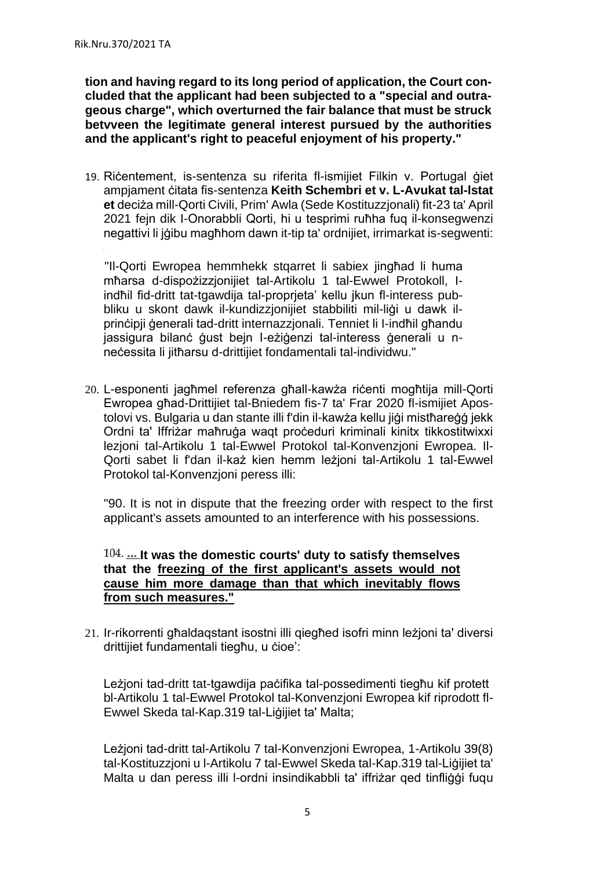**tion and having regard to its long period of application, the Court concluded that the applicant had been subjected to a "special and outrageous charge", which overturned the fair balance that must be struck betvveen the legitimate general interest pursued by the authorities and the applicant's right to peaceful enjoyment of his property."**

19. Riċentement, is-sentenza su riferita fl-ismijiet Filkin v. Portugal ġiet ampjament ċitata fis-sentenza **Keith Schembri et v. L-Avukat tal-lstat et** deciża mill-Qorti Civili, Prim' Awla (Sede Kostituzzjonali) fit-23 ta' April 2021 fejn dik I-Onorabbli Qorti, hi u tesprimi ruħha fuq il-konsegwenzi negattivi li jġibu magħhom dawn it-tip ta' ordnijiet, irrimarkat is-segwenti:

"Il-Qorti Ewropea hemmhekk stqarret li sabiex jingħad li huma mħarsa d-dispożizzjonijiet tal-Artikolu 1 tal-Ewwel Protokoll, Iindħil fid-dritt tat-tgawdija tal-proprjeta' kellu jkun fl-interess pubbliku u skont dawk il-kundizzjonijiet stabbiliti mil-liġi u dawk ilprinċipji ġenerali tad-dritt internazzjonali. Tenniet li I-indħil għandu jassigura bilanċ ġust bejn I-eżiġenzi tal-interess ġenerali u nneċessita li jitħarsu d-drittijiet fondamentali tal-individwu."

20. L-esponenti jagħmel referenza għall-kawża riċenti mogħtija mill-Qorti Ewropea għad-Drittijiet tal-Bniedem fis-7 ta' Frar 2020 fl-ismijiet Apostolovi vs. Bulgaria u dan stante illi f'din il-kawża kellu jiġi mistħareġġ jekk Ordni ta' Iffriżar maħruġa waqt proċeduri kriminali kinitx tikkostitwixxi lezjoni tal-Artikolu 1 tal-Ewwel Protokol tal-Konvenzjoni Ewropea. Il-Qorti sabet li f'dan il-każ kien hemm leżjoni tal-Artikolu 1 tal-Ewwel Protokol tal-Konvenzjoni peress illi:

"90. It is not in dispute that the freezing order with respect to the first applicant's assets amounted to an interference with his possessions.

### 104. ... It was the domestic courts' duty to satisfy themselves **that the freezing of the first applicant's assets would not cause him more damage than that which inevitably flows from such measures."**

21. Ir-rikorrenti għaldaqstant isostni illi qiegħed isofri minn leżjoni ta' diversi drittijiet fundamentali tiegħu, u ċioe':

Leżjoni tad-dritt tat-tgawdija paċifika tal-possedimenti tiegħu kif protett bl-Artikolu 1 tal-Ewwel Protokol tal-Konvenzjoni Ewropea kif riprodott fl-Ewwel Skeda tal-Kap.319 tal-Liġijiet ta' Malta;

Leżjoni tad-dritt tal-Artikolu 7 tal-Konvenzjoni Ewropea, 1-Artikolu 39(8) tal-Kostituzzjoni u l-Artikolu 7 tal-Ewwel Skeda tal-Kap.319 tal-Liġijiet ta' Malta u dan peress illi l-ordni insindikabbli ta' iffriżar qed tinfliġġi fuqu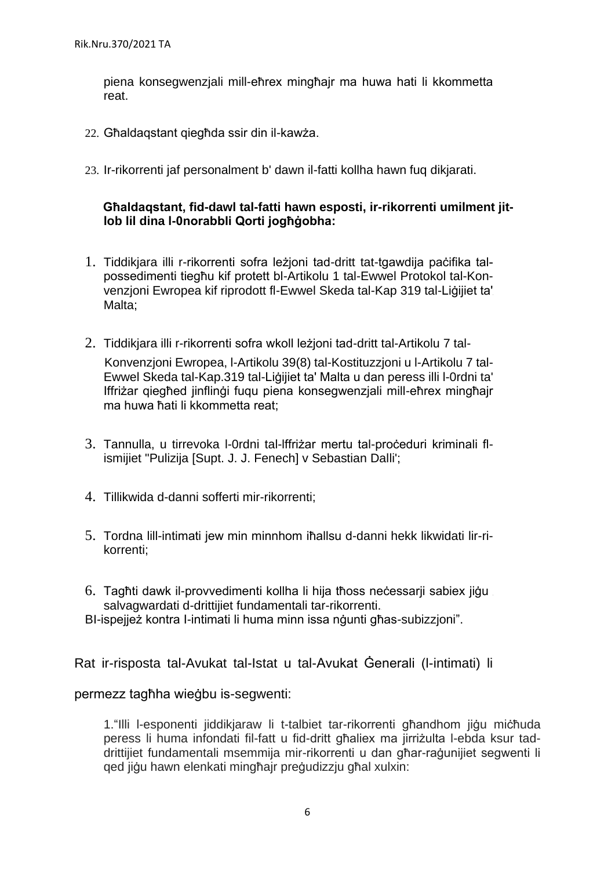piena konsegwenzjali mill-eħrex mingħajr ma huwa hati li kkommetta reat.

- 22. Għaldaqstant qiegħda ssir din il-kawża.
- 23. Ir-rikorrenti jaf personalment b' dawn il-fatti kollha hawn fuq dikjarati.

# **Għaldaqstant, fid-dawl tal-fatti hawn esposti, ir-rikorrenti umilment jitlob lil dina l-0norabbli Qorti jogħġobha:**

- 1. Tiddikjara illi r-rikorrenti sofra leżjoni tad-dritt tat-tgawdija paċifika talpossedimenti tiegħu kif protett bl-Artikolu 1 tal-Ewwel Protokol tal-Konvenzjoni Ewropea kif riprodott fl-Ewwel Skeda tal-Kap 319 tal-Liġijiet ta' Malta;
- 2. Tiddikjara illi r-rikorrenti sofra wkoll leżjoni tad-dritt tal-Artikolu 7 tal-Konvenzjoni Ewropea, l-Artikolu 39(8) tal-Kostituzzjoni u l-Artikolu 7 tal-Ewwel Skeda tal-Kap.319 tal-Liġijiet ta' Malta u dan peress illi l-0rdni ta' Iffriżar qiegħed jinflinġi fuqu piena konsegwenzjali mill-eħrex mingħajr ma huwa ħati li kkommetta reat;
- 3. Tannulla, u tirrevoka l-0rdni tal-lffriżar mertu tal-proċeduri kriminali flismijiet "Pulizija [Supt. J. J. Fenech] v Sebastian Dalli':
- 4. Tillikwida d-danni sofferti mir-rikorrenti;
- 5. Tordna lill-intimati jew min minnhom iħallsu d-danni hekk likwidati lir-rikorrenti;
- 6. Tagħti dawk il-provvedimenti kollha li hija tħoss neċessarji sabiex jiġu salvagwardati d-drittijiet fundamentali tar-rikorrenti. BI-ispejież kontra I-intimati li huma minn issa ngunti għas-subizzioni".

Rat ir-risposta tal-Avukat tal-Istat u tal-Avukat Ġenerali (l-intimati) li

#### permezz tagħha wieġbu is-segwenti:

1."Illi l-esponenti jiddikjaraw li t-talbiet tar-rikorrenti għandhom jiġu miċħuda peress li huma infondati fil-fatt u fid-dritt għaliex ma jirriżulta l-ebda ksur taddrittijiet fundamentali msemmija mir-rikorrenti u dan għar-raġunijiet segwenti li qed jiġu hawn elenkati mingħajr preġudizzju għal xulxin: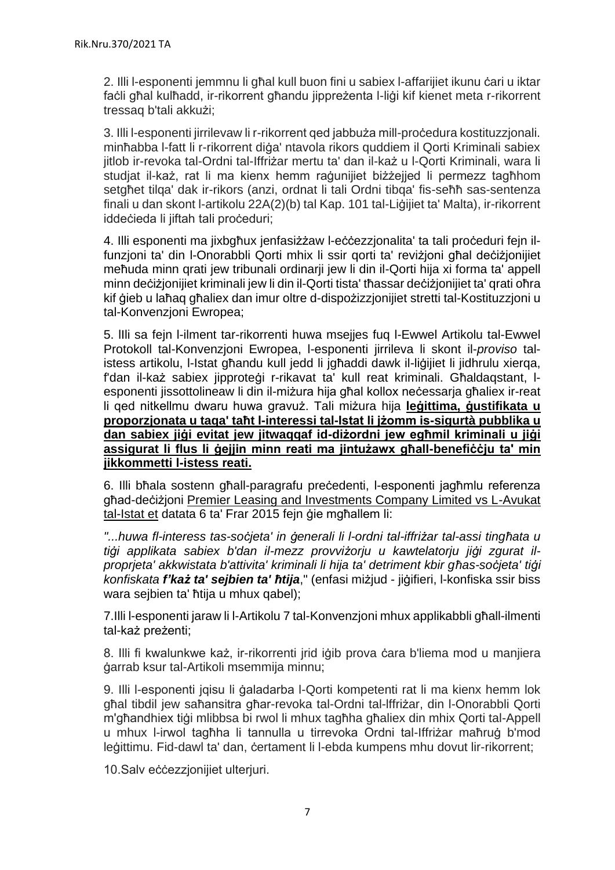2. Illi l-esponenti jemmnu li għal kull buon fini u sabiex l-affarijiet ikunu ċari u iktar faċli għal kulħadd, ir-rikorrent għandu jippreżenta l-liġi kif kienet meta r-rikorrent tressaq b'tali akkużi;

3. Illi l-esponenti jirrilevaw li r-rikorrent qed jabbuża mill-proċedura kostituzzjonali. minħabba l-fatt li r-rikorrent diġa' ntavola rikors quddiem il Qorti Kriminali sabiex jitlob ir-revoka tal-Ordni tal-Iffriżar mertu ta' dan il-każ u l-Qorti Kriminali, wara li studiat il-każ, rat li ma kienx hemm raġunijiet biżżejied li permezz tagħhom setgħet tilqa' dak ir-rikors (anzi, ordnat li tali Ordni tibqa' fis-seħħ sas-sentenza finali u dan skont l-artikolu 22A(2)(b) tal Kap. 101 tal-Liġijiet ta' Malta), ir-rikorrent iddeċieda li jiftah tali proċeduri;

4. Illi esponenti ma jixbgħux jenfasiżżaw l-eċċezzjonalita' ta tali proċeduri fejn ilfunzjoni ta' din l-Onorabbli Qorti mhix li ssir qorti ta' reviżjoni għal deċiżjonijiet meħuda minn grati jew tribunali ordinarii jew li din il-Qorti hija xi forma ta' appell minn deċiżjonijiet kriminali jew li din il-Qorti tista' tħassar deċiżjonijiet ta' qrati oħra kif ġieb u laħaq għaliex dan imur oltre d-dispożizzjonijiet stretti tal-Kostituzzjoni u tal-Konvenzjoni Ewropea;

5. lIli sa fejn l-ilment tar-rikorrenti huwa msejjes fuq l-Ewwel Artikolu tal-Ewwel Protokoll tal-Konvenzjoni Ewropea, l-esponenti jirrileva li skont il-*proviso* talistess artikolu, l-Istat għandu kull jedd li jgħaddi dawk il-liġijiet li jidhrulu xierqa, f'dan il-każ sabiex jipproteġi r-rikavat ta' kull reat kriminali. Għaldaqstant, lesponenti jissottolineaw li din il-miżura hija għal kollox neċessarja għaliex ir-reat li qed nitkellmu dwaru huwa gravuż. Tali miżura hija **leġittima, ġustifikata u proporzjonata u taqa' taħt l-interessi tal-Istat li jżomm is-sigurtà pubblika u dan sabiex jiġi evitat jew jitwaqqaf id-diżordni jew egħmil kriminali u jiġi assigurat li flus li ġejjin minn reati ma jintużawx għall-benefiċċju ta' min jikkommetti l-istess reati.**

6. Illi bħala sostenn għall-paragrafu preċedenti, l-esponenti jagħmlu referenza għad-deċiżjoni Premier Leasing and Investments Company Limited vs L-Avukat tal-Istat et datata 6 ta' Frar 2015 fejn ġie mgħallem li:

*"...huwa fl-interess tas-soċjeta' in ġenerali li l-ordni tal-iffriżar tal-assi tingħata u tiġi applikata sabiex b'dan il-mezz provviżorju u kawtelatorju jiġi zgurat ilproprjeta' akkwistata b'attivita' kriminali li hija ta' detriment kbir għas-soċjeta' tiġi konfiskata f'każ ta' sejbien ta' ħtija*," (enfasi miżjud - jiġifieri, l-konfiska ssir biss wara sejbien ta' ħtija u mhux qabel);

7.Illi l-esponenti jaraw li l-Artikolu 7 tal-Konvenzjoni mhux applikabbli għall-ilmenti tal-każ preżenti;

8. Illi fi kwalunkwe każ, ir-rikorrenti irid iġib prova ċara b'liema mod u manijera ġarrab ksur tal-Artikoli msemmija minnu;

9. Illi l-esponenti jqisu li ġaladarba l-Qorti kompetenti rat li ma kienx hemm lok għal tibdil jew saħansitra għar-revoka tal-Ordni tal-lffriżar, din l-Onorabbli Qorti m'għandhiex tiġi mlibbsa bi rwol li mhux tagħha għaliex din mhix Qorti tal-Appell u mhux l-irwol tagħha li tannulla u tirrevoka Ordni tal-Iffriżar maħruġ b'mod leġittimu. Fid-dawl ta' dan, ċertament li l-ebda kumpens mhu dovut lir-rikorrent;

10.Salv eċċezzjonijiet ulterjuri.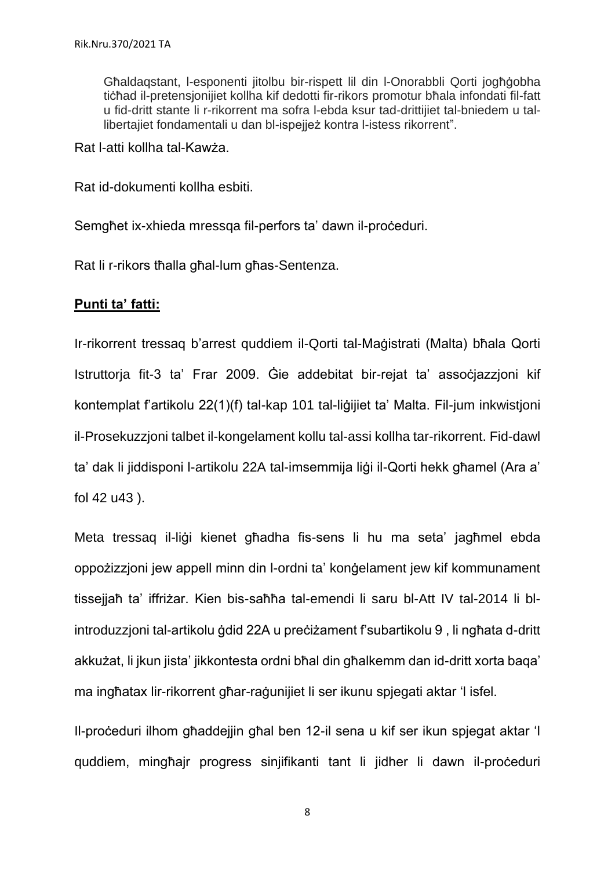Għaldaqstant, l-esponenti jitolbu bir-rispett lil din l-Onorabbli Qorti jogħġobha tiċħad il-pretensjonijiet kollha kif dedotti fir-rikors promotur bħala infondati fil-fatt u fid-dritt stante li r-rikorrent ma sofra l-ebda ksur tad-drittijiet tal-bniedem u tallibertajiet fondamentali u dan bl-ispejjeż kontra l-istess rikorrent".

Rat l-atti kollha tal-Kawża.

Rat id-dokumenti kollha esbiti.

Semghet ix-xhieda mressga fil-perfors ta' dawn il-proceduri.

Rat li r-rikors tħalla għal-lum għas-Sentenza.

# **Punti ta' fatti:**

Ir-rikorrent tressaq b'arrest quddiem il-Qorti tal-Maġistrati (Malta) bħala Qorti Istruttorja fit-3 ta' Frar 2009. Ġie addebitat bir-rejat ta' assoċjazzjoni kif kontemplat f'artikolu 22(1)(f) tal-kap 101 tal-liġijiet ta' Malta. Fil-jum inkwistjoni il-Prosekuzzjoni talbet il-kongelament kollu tal-assi kollha tar-rikorrent. Fid-dawl ta' dak li jiddisponi l-artikolu 22A tal-imsemmija liġi il-Qorti hekk għamel (Ara a' fol 42 u43 ).

Meta tressag il-ligi kienet għadha fis-sens li hu ma seta' jagħmel ebda oppożizzjoni jew appell minn din l-ordni ta' konġelament jew kif kommunament tissejjaħ ta' iffriżar. Kien bis-saħħa tal-emendi li saru bl-Att IV tal-2014 li blintroduzzjoni tal-artikolu ġdid 22A u preċiżament f'subartikolu 9 , li ngħata d-dritt akkużat, li jkun jista' jikkontesta ordni bħal din għalkemm dan id-dritt xorta baqa' ma ingħatax lir-rikorrent għar-raġunijiet li ser ikunu spjegati aktar 'l isfel.

Il-proċeduri ilhom għaddejjin għal ben 12-il sena u kif ser ikun spjegat aktar 'l quddiem, mingħajr progress sinjifikanti tant li jidher li dawn il-proċeduri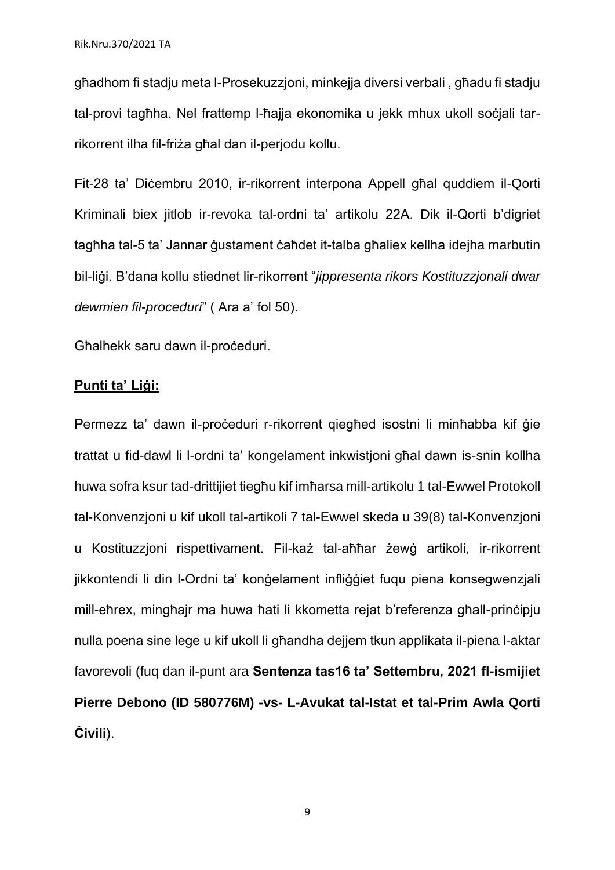għadhom fi stadju meta l-Prosekuzzjoni, minkejja diversi verbali , għadu fi stadju tal-provi tagħha. Nel frattemp l-ħajja ekonomika u jekk mhux ukoll soċjali tarrikorrent ilha fil-friża għal dan il-perjodu kollu.

Fit-28 ta' Diċembru 2010, ir-rikorrent interpona Appell għal quddiem il-Qorti Kriminali biex jitlob ir-revoka tal-ordni ta' artikolu 22A. Dik il-Qorti b'digriet tagħha tal-5 ta' Jannar ġustament ċaħdet it-talba għaliex kellha ideiha marbutin bil-liġi. B'dana kollu stiednet lir-rikorrent "*jippresenta rikors Kostituzzjonali dwar dewmien fil-proceduri*" ( Ara a' fol 50).

Għalhekk saru dawn il-proċeduri.

# **Punti ta' Liġi:**

Permezz ta' dawn il-proceduri r-rikorrent qiegħed isostni li minħabba kif ġie trattat u fid-dawl li l-ordni ta' kongelament inkwistjoni għal dawn is-snin kollha huwa sofra ksur tad-drittijiet tiegħu kif imħarsa mill-artikolu 1 tal-Ewwel Protokoll tal-Konvenzjoni u kif ukoll tal-artikoli 7 tal-Ewwel skeda u 39(8) tal-Konvenzjoni u Kostituzzioni rispettivament. Fil-każ tal-aħħar żewġ artikoli, ir-rikorrent jikkontendi li din l-Ordni ta' konġelament infliġġiet fuqu piena konsegwenzjali mill-eħrex, mingħajr ma huwa ħati li kkometta rejat b'referenza għall-prinċipju nulla poena sine lege u kif ukoll li għandha dejjem tkun applikata il-piena l-aktar favorevoli (fuq dan il-punt ara **Sentenza tas16 ta' Settembru, 2021 fl-ismijiet Pierre Debono (ID 580776M) -vs- L-Avukat tal-Istat et tal-Prim Awla Qorti Ċivili**).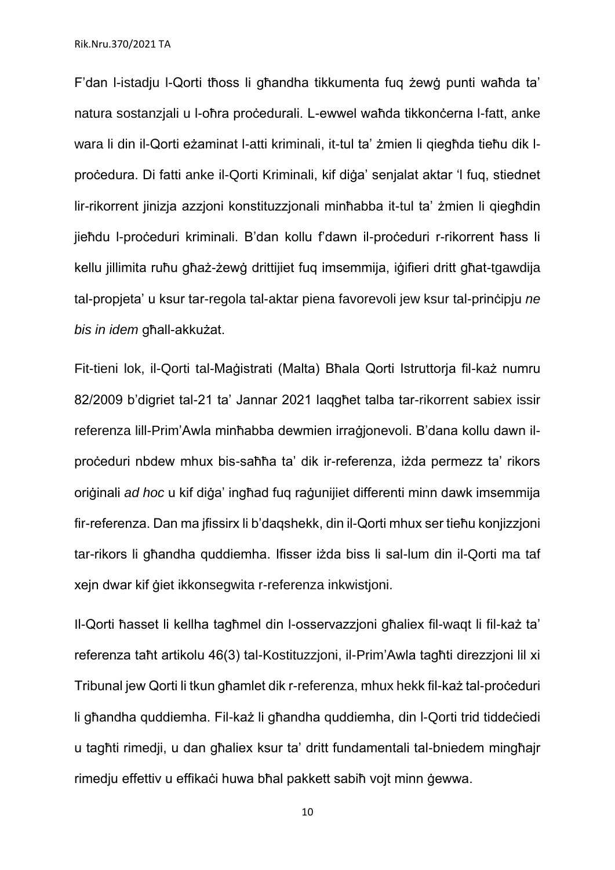F'dan l-istadju l-Qorti tħoss li għandha tikkumenta fuq żewġ punti waħda ta' natura sostanziali u l-oħra proċedurali. L-ewwel waħda tikkonċerna l-fatt, anke wara li din il-Qorti eżaminat l-atti kriminali, it-tul ta' żmien li qiegħda tieħu dik lproċedura. Di fatti anke il-Qorti Kriminali, kif diġa' senjalat aktar 'l fuq, stiednet lir-rikorrent jinizja azzjoni konstituzzjonali minħabba it-tul ta' żmien li qiegħdin jieħdu l-proċeduri kriminali. B'dan kollu f'dawn il-proċeduri r-rikorrent ħass li kellu jillimita ruħu għaż-żewġ drittijiet fuq imsemmija, iġifieri dritt għat-tgawdija tal-propjeta' u ksur tar-regola tal-aktar piena favorevoli jew ksur tal-prinċipju *ne bis in idem* għall-akkużat.

Fit-tieni lok, il-Qorti tal-Maġistrati (Malta) Bħala Qorti Istruttorja fil-każ numru 82/2009 b'digriet tal-21 ta' Jannar 2021 laqgħet talba tar-rikorrent sabiex issir referenza lill-Prim'Awla minħabba dewmien irraġjonevoli. B'dana kollu dawn ilproċeduri nbdew mhux bis-saħħa ta' dik ir-referenza, iżda permezz ta' rikors originali *ad hoc* u kif diga' inghad fug ragunijiet differenti minn dawk imsemmija fir-referenza. Dan ma jfissirx li b'daqshekk, din il-Qorti mhux ser tieħu konjizzjoni tar-rikors li għandha quddiemha. Ifisser iżda biss li sal-lum din il-Qorti ma taf xejn dwar kif ġiet ikkonsegwita r-referenza inkwistjoni.

Il-Qorti ħasset li kellha tagħmel din l-osservazzjoni għaliex fil-waqt li fil-każ ta' referenza taħt artikolu 46(3) tal-Kostituzzjoni, il-Prim'Awla tagħti direzzjoni lil xi Tribunal jew Qorti li tkun għamlet dik r-referenza, mhux hekk fil-każ tal-proċeduri li għandha quddiemha. Fil-każ li għandha quddiemha, din l-Qorti trid tiddeċiedi u tagħti rimedji, u dan għaliex ksur ta' dritt fundamentali tal-bniedem mingħajr rimedju effettiv u effikaċi huwa bħal pakkett sabiħ vojt minn ġewwa.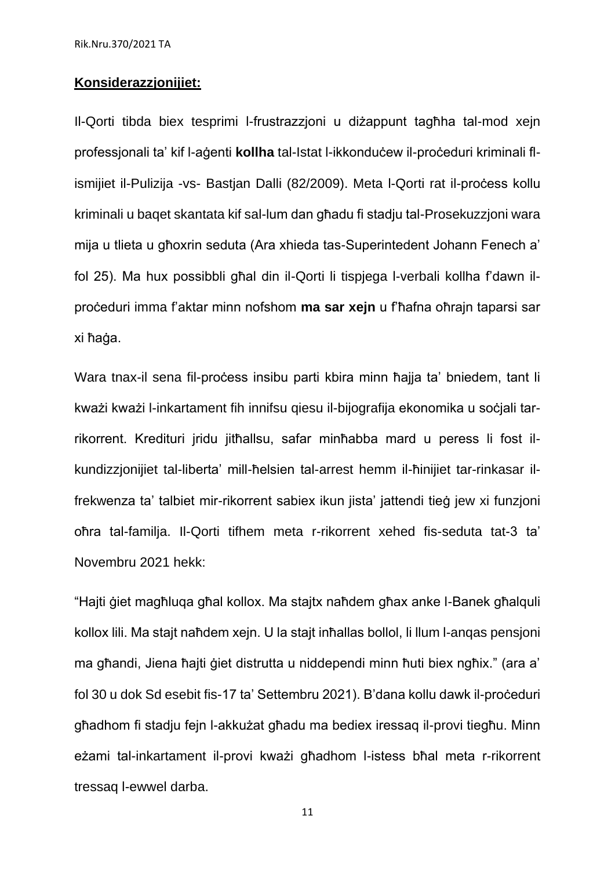#### **Konsiderazzjonijiet:**

Il-Qorti tibda biex tesprimi l-frustrazzjoni u diżappunt tagħha tal-mod xejn professjonali ta' kif l-agenti **kollha** tal-Istat l-ikkonduċew il-proċeduri kriminali flismijiet il-Pulizija -vs- Bastjan Dalli (82/2009). Meta l-Qorti rat il-process kollu kriminali u baqet skantata kif sal-lum dan għadu fi stadju tal-Prosekuzzjoni wara mija u tlieta u għoxrin seduta (Ara xhieda tas-Superintedent Johann Fenech a' fol 25). Ma hux possibbli għal din il-Qorti li tispjega l-verbali kollha f'dawn ilproċeduri imma f'aktar minn nofshom **ma sar xejn** u f'ħafna oħrajn taparsi sar xi ħaġa.

Wara tnax-il sena fil-process insibu parti kbira minn ħajja ta' bniedem, tant li kważi kważi l-inkartament fih innifsu qiesu il-bijografija ekonomika u soċjali tarrikorrent. Kredituri jridu jitħallsu, safar minħabba mard u peress li fost ilkundizzjonijiet tal-liberta' mill-ħelsien tal-arrest hemm il-ħinijiet tar-rinkasar ilfrekwenza ta' talbiet mir-rikorrent sabiex ikun jista' jattendi tieġ jew xi funzjoni oħra tal-familja. Il-Qorti tifhem meta r-rikorrent xehed fis-seduta tat-3 ta' Novembru 2021 hekk:

"Hajti ġiet magħluqa għal kollox. Ma stajtx naħdem għax anke l-Banek għalquli kollox lili. Ma stajt naħdem xejn. U la stajt inħallas bollol, li llum l-anqas pensjoni ma għandi, Jiena ħajti ġiet distrutta u niddependi minn ħuti biex ngħix." (ara a' fol 30 u dok Sd esebit fis-17 ta' Settembru 2021). B'dana kollu dawk il-proceduri għadhom fi stadju fejn l-akkużat għadu ma bediex iressaq il-provi tiegħu. Minn eżami tal-inkartament il-provi kważi għadhom l-istess bħal meta r-rikorrent tressaq l-ewwel darba.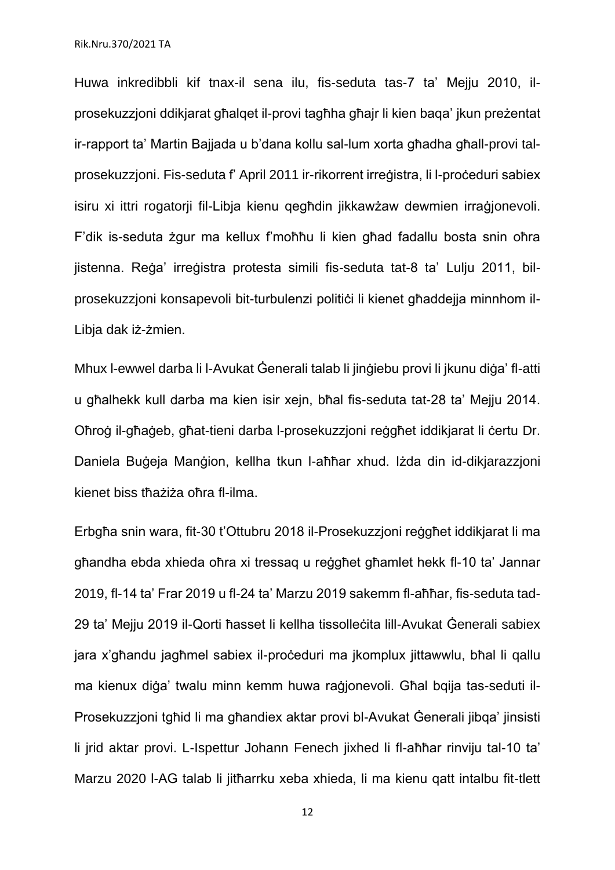Huwa inkredibbli kif tnax-il sena ilu, fis-seduta tas-7 ta' Mejju 2010, ilprosekuzzjoni ddikjarat għalqet il-provi tagħha għajr li kien baqa' jkun preżentat ir-rapport ta' Martin Bajjada u b'dana kollu sal-lum xorta għadha għall-provi talprosekuzzjoni. Fis-seduta f' April 2011 ir-rikorrent irreġistra, li l-proċeduri sabiex isiru xi ittri rogatorji fil-Libja kienu qegħdin jikkawżaw dewmien irraġjonevoli. F'dik is-seduta żgur ma kellux f'moħħu li kien għad fadallu bosta snin oħra jistenna. Reġa' irreġistra protesta simili fis-seduta tat-8 ta' Lulju 2011, bilprosekuzzjoni konsapevoli bit-turbulenzi politici li kienet għaddejja minnhom il-Libja dak iż-żmien.

Mhux l-ewwel darba li l-Avukat Ġenerali talab li jinġiebu provi li jkunu diġa' fl-atti u għalhekk kull darba ma kien isir xejn, bħal fis-seduta tat-28 ta' Mejju 2014. Oħroġ il-għaġeb, għat-tieni darba l-prosekuzzjoni reġgħet iddikjarat li ċertu Dr. Daniela Buġeja Manġion, kellha tkun l-aħħar xhud. Iżda din id-dikjarazzjoni kienet biss tħażiża oħra fl-ilma.

Erbgħa snin wara, fit-30 t'Ottubru 2018 il-Prosekuzzjoni reġgħet iddikjarat li ma għandha ebda xhieda oħra xi tressaq u reġgħet għamlet hekk fl-10 ta' Jannar 2019, fl-14 ta' Frar 2019 u fl-24 ta' Marzu 2019 sakemm fl-aħħar, fis-seduta tad-29 ta' Mejju 2019 il-Qorti ħasset li kellha tissolleċita lill-Avukat Ġenerali sabiex jara x'għandu jagħmel sabiex il-proċeduri ma jkomplux jittawwlu, bħal li qallu ma kienux diġa' twalu minn kemm huwa raġjonevoli. Għal bqija tas-seduti il-Prosekuzzjoni tgħid li ma għandiex aktar provi bl-Avukat Ġenerali jibqa' jinsisti li jrid aktar provi. L-Ispettur Johann Fenech jixhed li fl-aħħar rinviju tal-10 ta' Marzu 2020 l-AG talab li jitħarrku xeba xhieda, li ma kienu qatt intalbu fit-tlett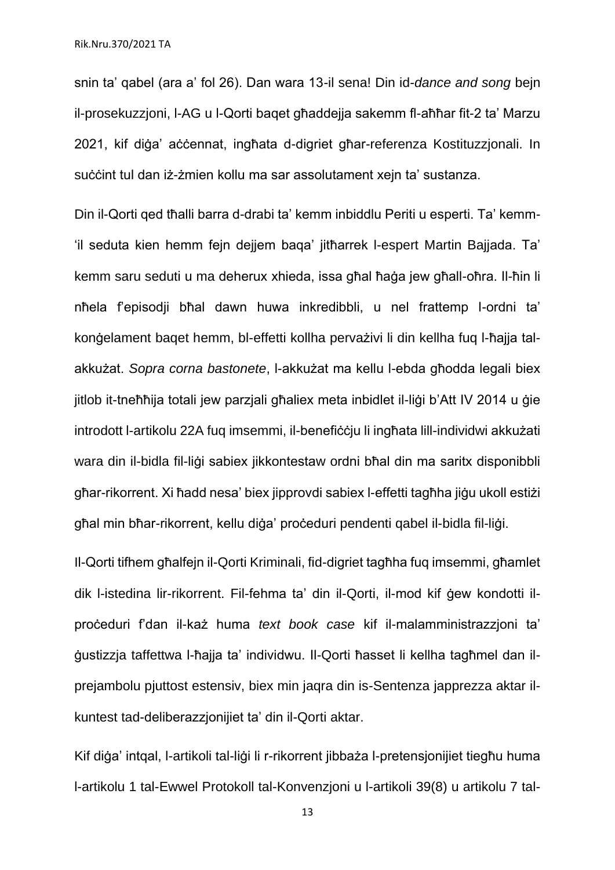snin ta' qabel (ara a' fol 26). Dan wara 13-il sena! Din id-*dance and song* bejn il-prosekuzzjoni, l-AG u l-Qorti baqet għaddejja sakemm fl-aħħar fit-2 ta' Marzu 2021, kif diġa' aċċennat, ingħata d-digriet għar-referenza Kostituzzjonali. In suċċint tul dan iż-żmien kollu ma sar assolutament xejn ta' sustanza.

Din il-Qorti qed tħalli barra d-drabi ta' kemm inbiddlu Periti u esperti. Ta' kemm- 'il seduta kien hemm fejn dejjem baqa' jitħarrek l-espert Martin Bajjada. Ta' kemm saru seduti u ma deherux xhieda, issa għal ħaġa jew għall-oħra. Il-ħin li nħela f'episodji bħal dawn huwa inkredibbli, u nel frattemp l-ordni ta' konġelament baqet hemm, bl-effetti kollha pervażivi li din kellha fuq l-ħajja talakkużat. *Sopra corna bastonete*, l-akkużat ma kellu l-ebda għodda legali biex jitlob it-tneħħija totali jew parzjali għaliex meta inbidlet il-liġi b'Att IV 2014 u ġie introdott l-artikolu 22A fuq imsemmi, il-benefiċċju li ingħata lill-individwi akkużati wara din il-bidla fil-liġi sabiex jikkontestaw ordni bħal din ma saritx disponibbli għar-rikorrent. Xi ħadd nesa' biex jipprovdi sabiex l-effetti tagħha jiġu ukoll estiżi għal min bħar-rikorrent, kellu diġa' proċeduri pendenti qabel il-bidla fil-liġi.

Il-Qorti tifhem għalfejn il-Qorti Kriminali, fid-digriet tagħha fuq imsemmi, għamlet dik l-istedina lir-rikorrent. Fil-fehma ta' din il-Qorti, il-mod kif ġew kondotti ilproċeduri f'dan il-każ huma *text book case* kif il-malamministrazzjoni ta' ġustizzja taffettwa l-ħajja ta' individwu. Il-Qorti ħasset li kellha tagħmel dan ilprejambolu pjuttost estensiv, biex min jaqra din is-Sentenza japprezza aktar ilkuntest tad-deliberazzjonijiet ta' din il-Qorti aktar.

Kif diġa' intgal, l-artikoli tal-liġi li r-rikorrent jibbaża l-pretensjonijiet tiegħu huma l-artikolu 1 tal-Ewwel Protokoll tal-Konvenzjoni u l-artikoli 39(8) u artikolu 7 tal-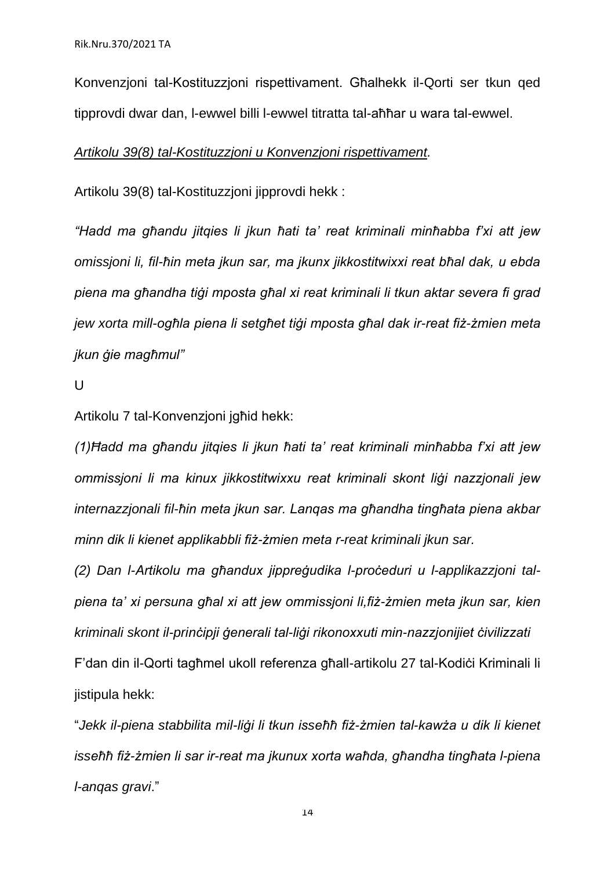Konvenzjoni tal-Kostituzzjoni rispettivament. Għalhekk il-Qorti ser tkun qed tipprovdi dwar dan, l-ewwel billi l-ewwel titratta tal-aħħar u wara tal-ewwel.

#### *Artikolu 39(8) tal-Kostituzzjoni u Konvenzjoni rispettivament.*

Artikolu 39(8) tal-Kostituzzioni jipprovdi hekk :

*"Hadd ma għandu jitqies li jkun ħati ta' reat kriminali minħabba f'xi att jew omissjoni li, fil-ħin meta jkun sar, ma jkunx jikkostitwixxi reat bħal dak, u ebda piena ma għandha tiġi mposta għal xi reat kriminali li tkun aktar severa fi grad jew xorta mill-ogħla piena li setgħet tiġi mposta għal dak ir-reat fiż-żmien meta jkun ġie magħmul"*

 $\cup$ 

Artikolu 7 tal-Konvenzjoni jgħid hekk:

*(1)Ħadd ma għandu jitqies li jkun ħati ta' reat kriminali minħabba f'xi att jew ommissjoni li ma kinux jikkostitwixxu reat kriminali skont liġi nazzjonali jew internazzjonali fil-ħin meta jkun sar. Lanqas ma għandha tingħata piena akbar minn dik li kienet applikabbli fiż-żmien meta r-reat kriminali jkun sar.*

*(2) Dan l-Artikolu ma għandux jippreġudika l-proċeduri u l-applikazzjoni talpiena ta' xi persuna għal xi att jew ommissjoni li,fiż-żmien meta jkun sar, kien kriminali skont il-prinċipji ġenerali tal-liġi rikonoxxuti min-nazzjonijiet ċivilizzati* F'dan din il-Qorti tagħmel ukoll referenza għall-artikolu 27 tal-Kodiċi Kriminali li jistipula hekk:

"*Jekk il-piena stabbilita mil-liġi li tkun isseħħ fiż-żmien tal-kawża u dik li kienet isseħħ fiż-żmien li sar ir-reat ma jkunux xorta waħda, għandha tingħata l-piena l-anqas gravi*."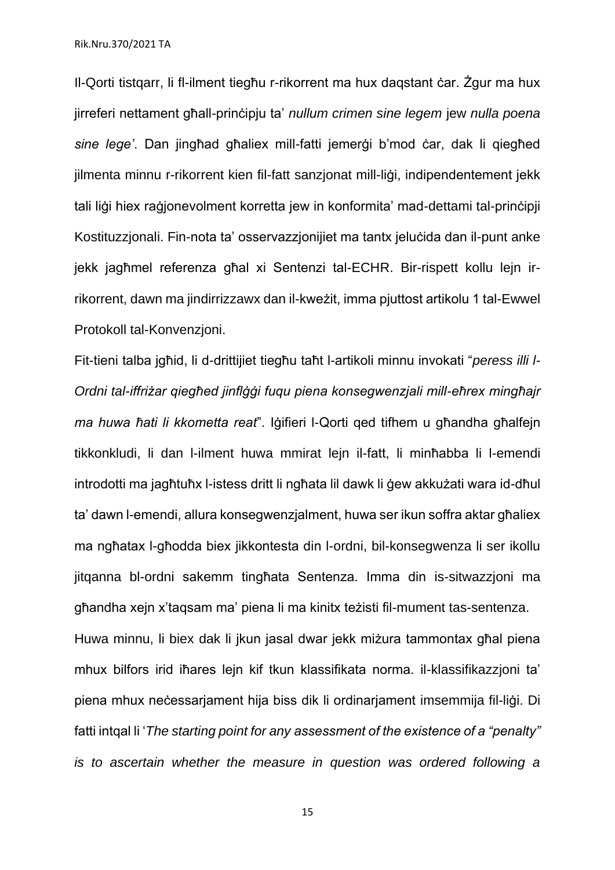Il-Qorti tistqarr, li fl-ilment tiegħu r-rikorrent ma hux daqstant ċar. Żgur ma hux jirreferi nettament għall-prinċipju ta' *nullum crimen sine legem* jew *nulla poena sine lege'*. Dan jingħad għaliex mill-fatti jemerġi b'mod ċar, dak li qiegħed jilmenta minnu r-rikorrent kien fil-fatt sanzjonat mill-liġi, indipendentement jekk tali liġi hiex raġjonevolment korretta jew in konformita' mad-dettami tal-prinċipji Kostituzzjonali. Fin-nota ta' osservazzjonijiet ma tantx jeluċida dan il-punt anke jekk jagħmel referenza għal xi Sentenzi tal-ECHR. Bir-rispett kollu lejn irrikorrent, dawn ma jindirrizzawx dan il-kweżit, imma pjuttost artikolu 1 tal-Ewwel Protokoll tal-Konvenzjoni.

Fit-tieni talba jgħid, li d-drittijiet tiegħu taħt l-artikoli minnu invokati "*peress illi l-Ordni tal-iffriżar qiegħed jinflġġi fuqu piena konsegwenzjali mill-eħrex mingħajr ma huwa ħati li kkometta reat*". Iġifieri l-Qorti qed tifhem u għandha għalfejn tikkonkludi, li dan l-ilment huwa mmirat lejn il-fatt, li minħabba li l-emendi introdotti ma jagħtuħx l-istess dritt li ngħata lil dawk li ġew akkużati wara id-dħul ta' dawn l-emendi, allura konsegwenzjalment, huwa ser ikun soffra aktar għaliex ma ngħatax l-għodda biex jikkontesta din l-ordni, bil-konsegwenza li ser ikollu jitqanna bl-ordni sakemm tingħata Sentenza. Imma din is-sitwazzjoni ma għandha xejn x'taqsam ma' piena li ma kinitx teżisti fil-mument tas-sentenza. Huwa minnu, li biex dak li jkun jasal dwar jekk miżura tammontax għal piena mhux bilfors irid iħares lejn kif tkun klassifikata norma. il-klassifikazzjoni ta' piena mhux neċessarjament hija biss dik li ordinarjament imsemmija fil-liġi. Di fatti intqal li '*The starting point for any assessment of the existence of a "penalty" is to ascertain whether the measure in question was ordered following a*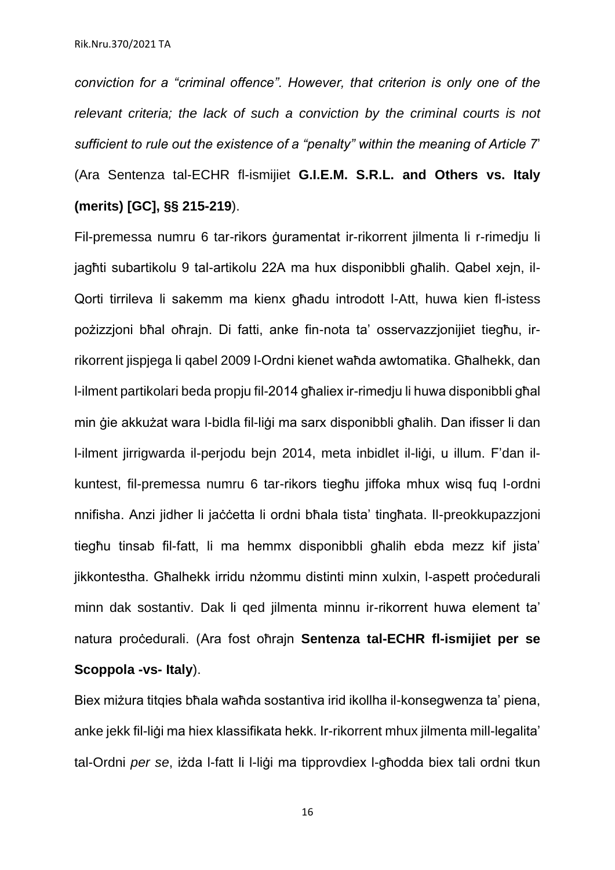*conviction for a "criminal offence". However, that criterion is only one of the relevant criteria; the lack of such a conviction by the criminal courts is not sufficient to rule out the existence of a "penalty" within the meaning of Article 7*' (Ara Sentenza tal-ECHR fl-ismijiet **G.I.E.M. S.R.L. and Others vs. Italy (merits) [GC], §§ 215-219**).

Fil-premessa numru 6 tar-rikors ġuramentat ir-rikorrent jilmenta li r-rimedju li jagħti subartikolu 9 tal-artikolu 22A ma hux disponibbli għalih. Qabel xejn, il-Qorti tirrileva li sakemm ma kienx għadu introdott l-Att, huwa kien fl-istess pożizzjoni bħal oħrajn. Di fatti, anke fin-nota ta' osservazzjonijiet tiegħu, irrikorrent jispjega li qabel 2009 l-Ordni kienet waħda awtomatika. Għalhekk, dan l-ilment partikolari beda propju fil-2014 għaliex ir-rimedju li huwa disponibbli għal min ġie akkużat wara l-bidla fil-liġi ma sarx disponibbli għalih. Dan ifisser li dan l-ilment jirrigwarda il-perjodu bejn 2014, meta inbidlet il-liġi, u illum. F'dan ilkuntest, fil-premessa numru 6 tar-rikors tiegħu jiffoka mhux wisq fuq l-ordni nnifisha. Anzi jidher li jaċċetta li ordni bħala tista' tingħata. Il-preokkupazzjoni tiegħu tinsab fil-fatt, li ma hemmx disponibbli għalih ebda mezz kif jista' jikkontestha. Għalhekk irridu nżommu distinti minn xulxin, l-aspett proċedurali minn dak sostantiv. Dak li qed jilmenta minnu ir-rikorrent huwa element ta' natura proċedurali. (Ara fost oħrajn **Sentenza tal-ECHR fl-ismijiet per se Scoppola -vs- Italy**).

Biex miżura titqies bħala waħda sostantiva irid ikollha il-konsegwenza ta' piena, anke jekk fil-liġi ma hiex klassifikata hekk. Ir-rikorrent mhux jilmenta mill-legalita' tal-Ordni *per se*, iżda l-fatt li l-liġi ma tipprovdiex l-għodda biex tali ordni tkun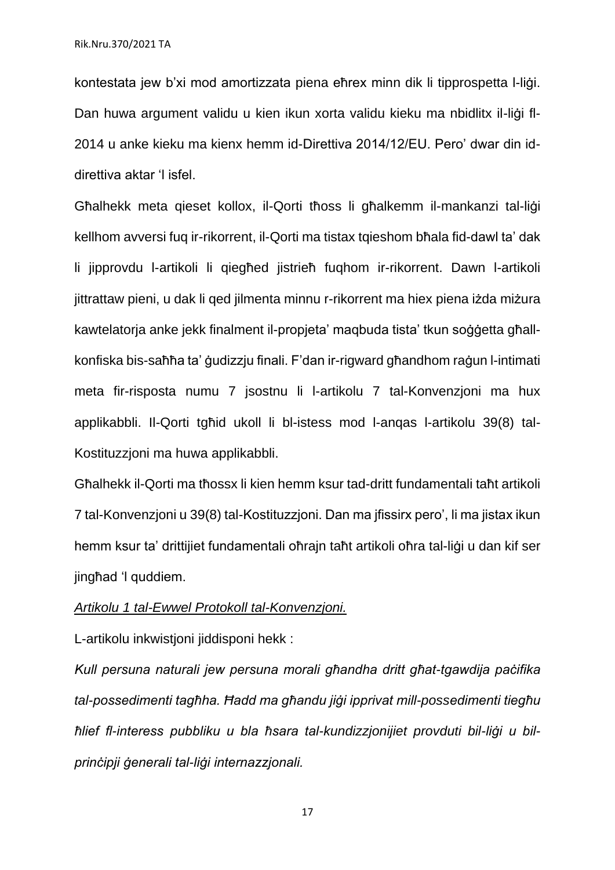kontestata jew b'xi mod amortizzata piena eħrex minn dik li tipprospetta l-liġi. Dan huwa argument validu u kien ikun xorta validu kieku ma nbidlitx il-liġi fl-2014 u anke kieku ma kienx hemm id-Direttiva 2014/12/EU. Pero' dwar din iddirettiva aktar 'l isfel.

Għalhekk meta qieset kollox, il-Qorti tħoss li għalkemm il-mankanzi tal-liġi kellhom avversi fuq ir-rikorrent, il-Qorti ma tistax tqieshom bħala fid-dawl ta' dak li jipprovdu l-artikoli li qiegħed jistrieħ fuqhom ir-rikorrent. Dawn l-artikoli jittrattaw pieni, u dak li qed jilmenta minnu r-rikorrent ma hiex piena iżda miżura kawtelatorja anke jekk finalment il-propjeta' maqbuda tista' tkun soġġetta għallkonfiska bis-saħħa ta' ġudizzju finali. F'dan ir-rigward għandhom raġun l-intimati meta fir-risposta numu 7 jsostnu li l-artikolu 7 tal-Konvenzjoni ma hux applikabbli. Il-Qorti tgħid ukoll li bl-istess mod l-anqas l-artikolu 39(8) tal-Kostituzzjoni ma huwa applikabbli.

Għalhekk il-Qorti ma tħossx li kien hemm ksur tad-dritt fundamentali taħt artikoli 7 tal-Konvenzjoni u 39(8) tal-Kostituzzjoni. Dan ma jfissirx pero', li ma jistax ikun hemm ksur ta' drittijiet fundamentali oħrajn taħt artikoli oħra tal-liġi u dan kif ser jingħad 'l quddiem.

#### *Artikolu 1 tal-Ewwel Protokoll tal-Konvenzjoni.*

L-artikolu inkwistioni jiddisponi hekk :

*Kull persuna naturali jew persuna morali għandha dritt għat-tgawdija paċifika tal-possedimenti tagħha. Ħadd ma għandu jiġi ipprivat mill-possedimenti tiegħu ħlief fl-interess pubbliku u bla ħsara tal-kundizzjonijiet provduti bil-liġi u bilprinċipji ġenerali tal-liġi internazzjonali.*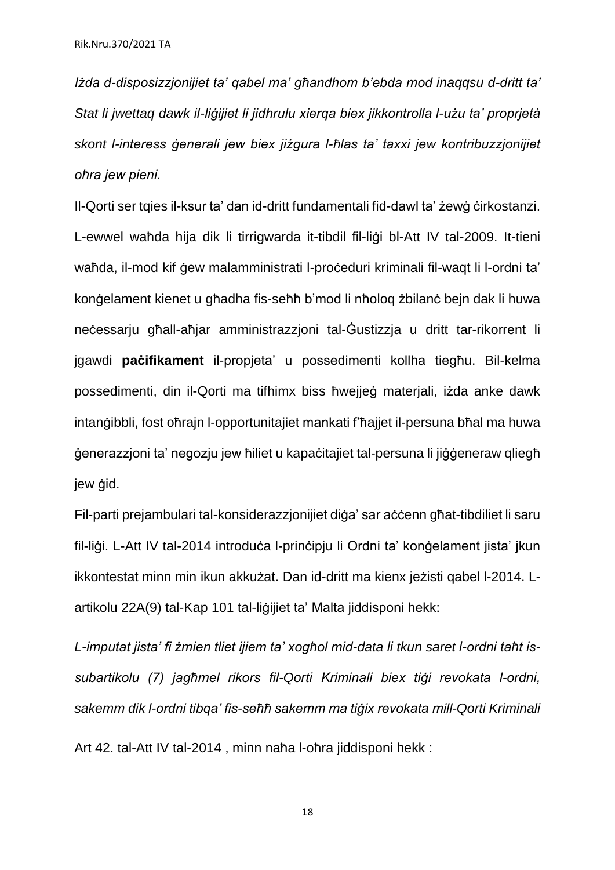*Iżda d-disposizzjonijiet ta' qabel ma' għandhom b'ebda mod inaqqsu d-dritt ta' Stat li jwettaq dawk il-liġijiet li jidhrulu xierqa biex jikkontrolla l-użu ta' proprjetà skont l-interess ġenerali jew biex jiżgura l-ħlas ta' taxxi jew kontribuzzjonijiet oħra jew pieni.*

Il-Qorti ser tqies il-ksur ta' dan id-dritt fundamentali fid-dawl ta' żewġ ċirkostanzi. L-ewwel waħda hija dik li tirrigwarda it-tibdil fil-liġi bl-Att IV tal-2009. It-tieni waħda, il-mod kif ġew malamministrati l-proċeduri kriminali fil-waqt li l-ordni ta' konġelament kienet u għadha fis-seħħ b'mod li nħoloq żbilanċ bejn dak li huwa neċessarju għall-aħjar amministrazzjoni tal-Ġustizzja u dritt tar-rikorrent li jgawdi **paċifikament** il-propjeta' u possedimenti kollha tiegħu. Bil-kelma possedimenti, din il-Qorti ma tifhimx biss ħwejjeġ materjali, iżda anke dawk intanġibbli, fost oħrajn l-opportunitajiet mankati f'ħajjet il-persuna bħal ma huwa ġenerazzjoni ta' negozju jew ħiliet u kapaċitajiet tal-persuna li jiġġeneraw qliegħ jew *gid*.

Fil-parti prejambulari tal-konsiderazzjonijiet diġa' sar aċċenn għat-tibdiliet li saru fil-liġi. L-Att IV tal-2014 introduċa l-prinċipju li Ordni ta' konġelament jista' jkun ikkontestat minn min ikun akkużat. Dan id-dritt ma kienx jeżisti qabel l-2014. Lartikolu 22A(9) tal-Kap 101 tal-liģijiet ta' Malta jiddisponi hekk:

*L-imputat jista' fi żmien tliet ijiem ta' xogħol mid-data li tkun saret l-ordni taħt issubartikolu (7) jagħmel rikors fil-Qorti Kriminali biex tiġi revokata l-ordni, sakemm dik l-ordni tibqa' fis-seħħ sakemm ma tiġix revokata mill-Qorti Kriminali* Art 42. tal-Att IV tal-2014 , minn naħa l-oħra jiddisponi hekk :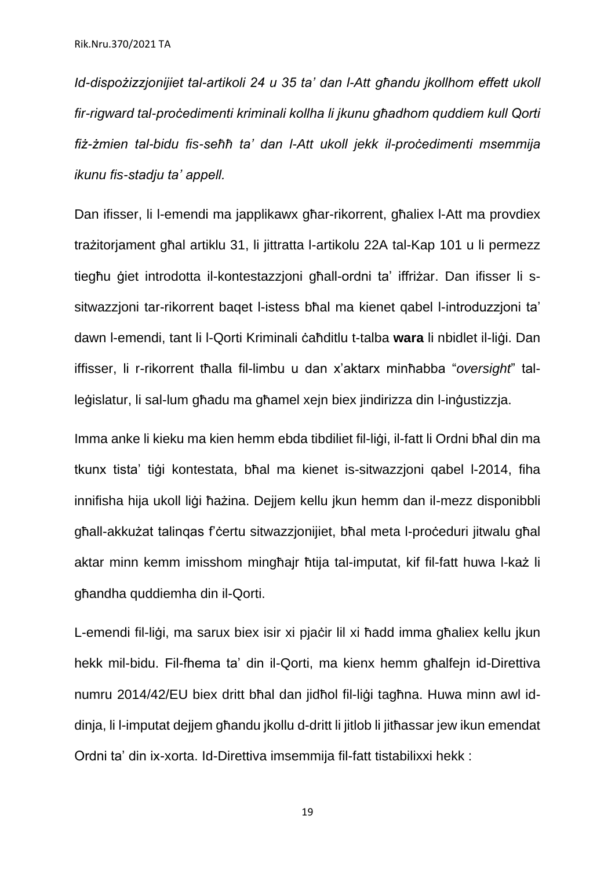*Id-dispożizzjonijiet tal-artikoli 24 u 35 ta' dan l-Att għandu jkollhom effett ukoll fir-rigward tal-proċedimenti kriminali kollha li jkunu għadhom quddiem kull Qorti fiż-żmien tal-bidu fis-seħħ ta' dan l-Att ukoll jekk il-proċedimenti msemmija ikunu fis-stadju ta' appell.*

Dan ifisser, li l-emendi ma japplikawx għar-rikorrent, għaliex l-Att ma provdiex trażitorjament għal artiklu 31, li jittratta l-artikolu 22A tal-Kap 101 u li permezz tiegħu ġiet introdotta il-kontestazzjoni għall-ordni ta' iffriżar. Dan ifisser li ssitwazzjoni tar-rikorrent baqet l-istess bħal ma kienet qabel l-introduzzjoni ta' dawn l-emendi, tant li l-Qorti Kriminali ċaħditlu t-talba **wara** li nbidlet il-liġi. Dan iffisser, li r-rikorrent tħalla fil-limbu u dan x'aktarx minħabba "*oversight*" talleġislatur, li sal-lum għadu ma għamel xejn biex jindirizza din l-inġustizzja.

Imma anke li kieku ma kien hemm ebda tibdiliet fil-liġi, il-fatt li Ordni bħal din ma tkunx tista' tiġi kontestata, bħal ma kienet is-sitwazzioni gabel I-2014, fiha innifisha hija ukoll liġi ħażina. Dejjem kellu jkun hemm dan il-mezz disponibbli għall-akkużat talinqas f'ċertu sitwazzjonijiet, bħal meta l-proċeduri jitwalu għal aktar minn kemm imisshom mingħajr ħtija tal-imputat, kif fil-fatt huwa l-każ li għandha quddiemha din il-Qorti.

L-emendi fil-liġi, ma sarux biex isir xi pjaċir lil xi ħadd imma għaliex kellu jkun hekk mil-bidu. Fil-fhema ta' din il-Qorti, ma kienx hemm għalfein id-Direttiva numru 2014/42/EU biex dritt bħal dan jidħol fil-liġi tagħna. Huwa minn awl iddinja, li l-imputat dejjem għandu jkollu d-dritt li jitlob li jitħassar jew ikun emendat Ordni ta' din ix-xorta. Id-Direttiva imsemmija fil-fatt tistabilixxi hekk :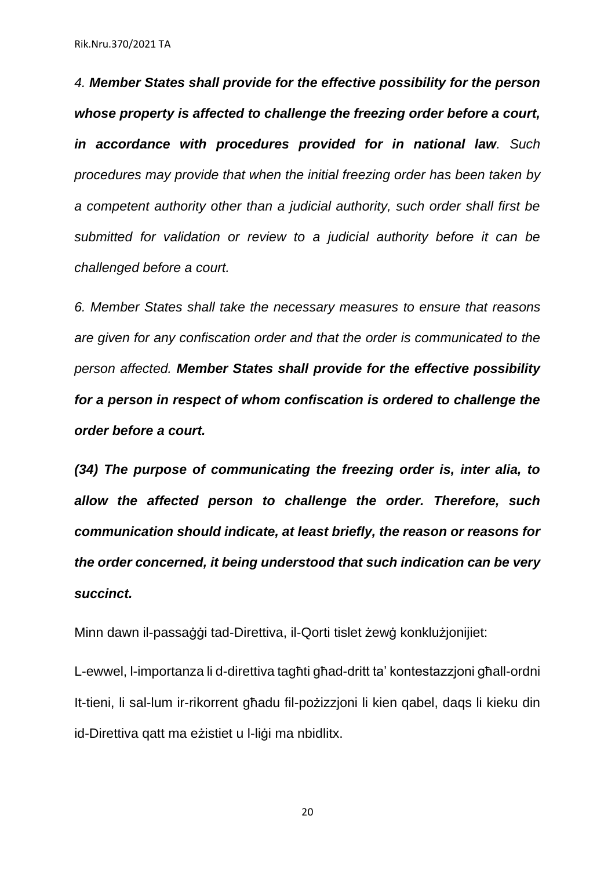*4. Member States shall provide for the effective possibility for the person whose property is affected to challenge the freezing order before a court, in accordance with procedures provided for in national law. Such procedures may provide that when the initial freezing order has been taken by a competent authority other than a judicial authority, such order shall first be submitted for validation or review to a judicial authority before it can be challenged before a court.*

*6. Member States shall take the necessary measures to ensure that reasons are given for any confiscation order and that the order is communicated to the person affected. Member States shall provide for the effective possibility for a person in respect of whom confiscation is ordered to challenge the order before a court.*

*(34) The purpose of communicating the freezing order is, inter alia, to allow the affected person to challenge the order. Therefore, such communication should indicate, at least briefly, the reason or reasons for the order concerned, it being understood that such indication can be very succinct.*

Minn dawn il-passaġġi tad-Direttiva, il-Qorti tislet żewġ konklużjonijiet:

L-ewwel, l-importanza li d-direttiva tagħti għad-dritt ta' kontestazzjoni għall-ordni It-tieni, li sal-lum ir-rikorrent għadu fil-pożizzjoni li kien qabel, daqs li kieku din id-Direttiva qatt ma eżistiet u l-liġi ma nbidlitx.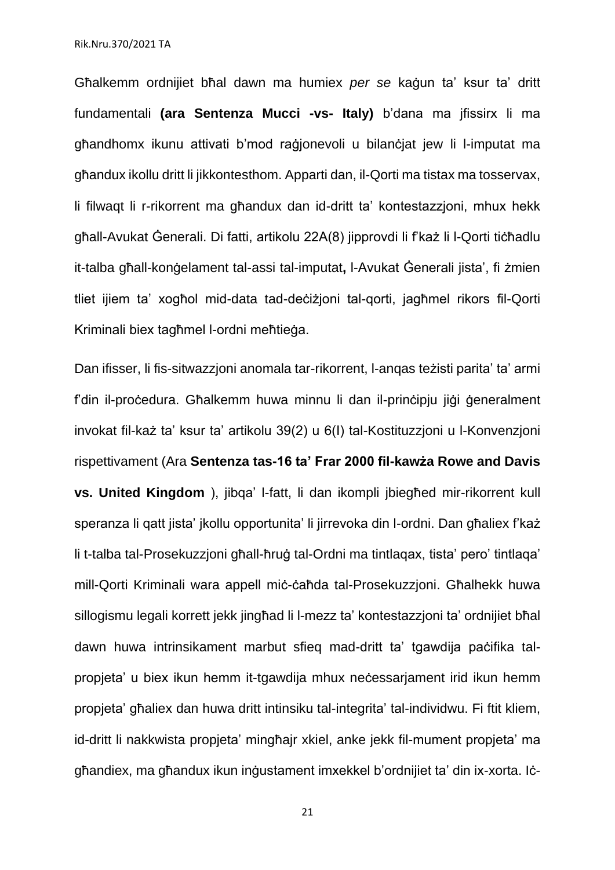Għalkemm ordnijiet bħal dawn ma humiex *per se* kaġun ta' ksur ta' dritt fundamentali **(ara Sentenza Mucci -vs- Italy)** b'dana ma jfissirx li ma għandhomx ikunu attivati b'mod raġjonevoli u bilanċjat jew li l-imputat ma għandux ikollu dritt li jikkontesthom. Apparti dan, il-Qorti ma tistax ma tosservax, li filwaqt li r-rikorrent ma għandux dan id-dritt ta' kontestazzjoni, mhux hekk għall-Avukat Ġenerali. Di fatti, artikolu 22A(8) jipprovdi li f'każ li l-Qorti tiċħadlu it-talba għall-konġelament tal-assi tal-imputat**,** l-Avukat Ġenerali jista', fi żmien tliet ijiem ta' xogħol mid-data tad-deċiżjoni tal-qorti, jagħmel rikors fil-Qorti Kriminali biex tagħmel l-ordni meħtieġa.

Dan ifisser, li fis-sitwazzjoni anomala tar-rikorrent, l-anqas teżisti parita' ta' armi f'din il-proċedura. Għalkemm huwa minnu li dan il-prinċipju jiġi ġeneralment invokat fil-każ ta' ksur ta' artikolu 39(2) u 6(I) tal-Kostituzzjoni u l-Konvenzjoni rispettivament (Ara **Sentenza tas-16 ta' Frar 2000 fil-kawża Rowe and Davis vs. United Kingdom** ), jibqa' l-fatt, li dan ikompli jbiegħed mir-rikorrent kull speranza li qatt jista' jkollu opportunita' li jirrevoka din l-ordni. Dan għaliex f'każ li t-talba tal-Prosekuzzjoni għall-ħruġ tal-Ordni ma tintlaqax, tista' pero' tintlaqa' mill-Qorti Kriminali wara appell miċ-ċaħda tal-Prosekuzzjoni. Għalhekk huwa sillogismu legali korrett jekk jingħad li l-mezz ta' kontestazzjoni ta' ordnijiet bħal dawn huwa intrinsikament marbut sfieq mad-dritt ta' tgawdija paċifika talpropjeta' u biex ikun hemm it-tgawdija mhux neċessarjament irid ikun hemm propjeta' għaliex dan huwa dritt intinsiku tal-integrita' tal-individwu. Fi ftit kliem, id-dritt li nakkwista propjeta' mingħajr xkiel, anke jekk fil-mument propjeta' ma għandiex, ma għandux ikun inġustament imxekkel b'ordnijiet ta' din ix-xorta. Iċ-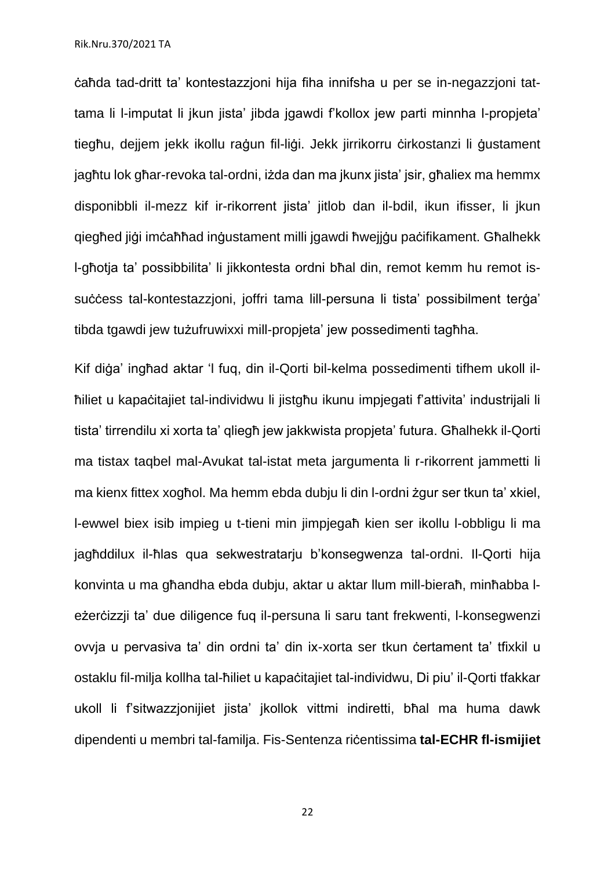ċaħda tad-dritt ta' kontestazzjoni hija fiha innifsha u per se in-negazzjoni tattama li l-imputat li jkun jista' jibda jgawdi f'kollox jew parti minnha l-propjeta' tiegħu, dejjem jekk ikollu raġun fil-liġi. Jekk jirrikorru ċirkostanzi li ġustament jagħtu lok għar-revoka tal-ordni, iżda dan ma jkunx jista' jsir, għaliex ma hemmx disponibbli il-mezz kif ir-rikorrent jista' jitlob dan il-bdil, ikun ifisser, li jkun qiegħed jiġi imċaħħad inġustament milli jgawdi ħwejjġu paċifikament. Għalhekk l-għotja ta' possibbilita' li jikkontesta ordni bħal din, remot kemm hu remot issuċċess tal-kontestazzjoni, joffri tama lill-persuna li tista' possibilment terġa' tibda tgawdi jew tużufruwixxi mill-propjeta' jew possedimenti tagħha.

Kif diġa' ingħad aktar 'l fuq, din il-Qorti bil-kelma possedimenti tifhem ukoll ilħiliet u kapaċitajiet tal-individwu li jistgħu ikunu impjegati f'attivita' industrijali li tista' tirrendilu xi xorta ta' qliegħ jew jakkwista propjeta' futura. Għalhekk il-Qorti ma tistax taqbel mal-Avukat tal-istat meta jargumenta li r-rikorrent jammetti li ma kienx fittex xogħol. Ma hemm ebda dubju li din l-ordni żgur ser tkun ta' xkiel, l-ewwel biex isib impieg u t-tieni min jimpjegaħ kien ser ikollu l-obbligu li ma jagħddilux il-ħlas qua sekwestratarju b'konsegwenza tal-ordni. Il-Qorti hija konvinta u ma għandha ebda dubju, aktar u aktar llum mill-bieraħ, minħabba leżerċizzji ta' due diligence fuq il-persuna li saru tant frekwenti, l-konsegwenzi ovvja u pervasiva ta' din ordni ta' din ix-xorta ser tkun ċertament ta' tfixkil u ostaklu fil-milja kollha tal-ħiliet u kapaċitajiet tal-individwu, Di piu' il-Qorti tfakkar ukoll li f'sitwazzjonijiet jista' jkollok vittmi indiretti, bħal ma huma dawk dipendenti u membri tal-familja. Fis-Sentenza riċentissima **tal-ECHR fl-ismijiet**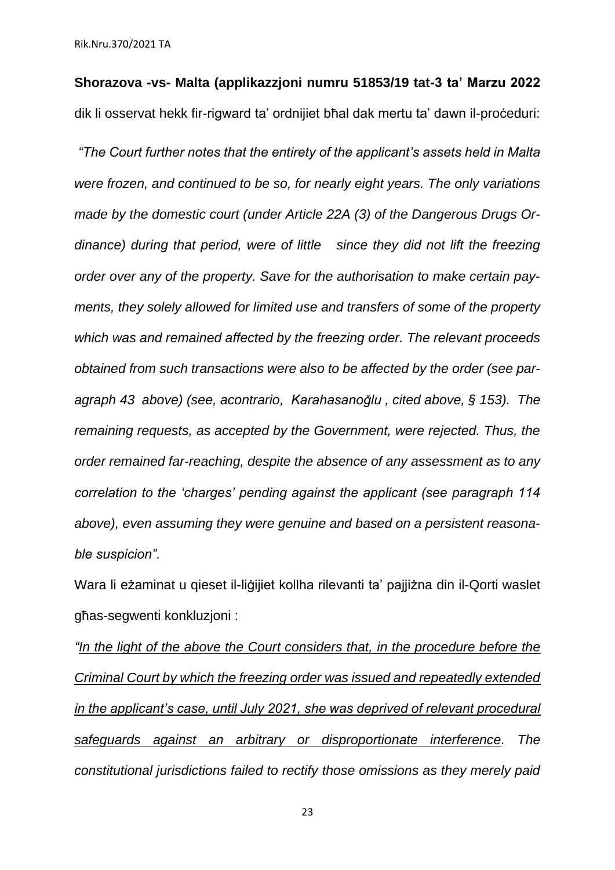**Shorazova -vs- Malta (applikazzjoni numru 51853/19 tat-3 ta' Marzu 2022** dik li osservat hekk fir-rigward ta' ordnijiet bħal dak mertu ta' dawn il-proċeduri:

*"The Court further notes that the entirety of the applicant's assets held in Malta were frozen, and continued to be so, for nearly eight years. The only variations made by the domestic court (under Article 22A (3) of the Dangerous Drugs Ordinance) during that period, were of little since they did not lift the freezing order over any of the property. Save for the authorisation to make certain payments, they solely allowed for limited use and transfers of some of the property which was and remained affected by the freezing order. The relevant proceeds obtained from such transactions were also to be affected by the order (see paragraph 43 above) (see, acontrario, Karahasanoğlu , cited above, § 153). The remaining requests, as accepted by the Government, were rejected. Thus, the order remained far-reaching, despite the absence of any assessment as to any correlation to the 'charges' pending against the applicant (see paragraph 114 above), even assuming they were genuine and based on a persistent reasonable suspicion".*

Wara li eżaminat u qieset il-liġijiet kollha rilevanti ta' pajjiżna din il-Qorti waslet għas-segwenti konkluzjoni :

*"In the light of the above the Court considers that, in the procedure before the Criminal Court by which the freezing order was issued and repeatedly extended in the applicant's case, until July 2021, she was deprived of relevant procedural safeguards against an arbitrary or disproportionate interference. The constitutional jurisdictions failed to rectify those omissions as they merely paid*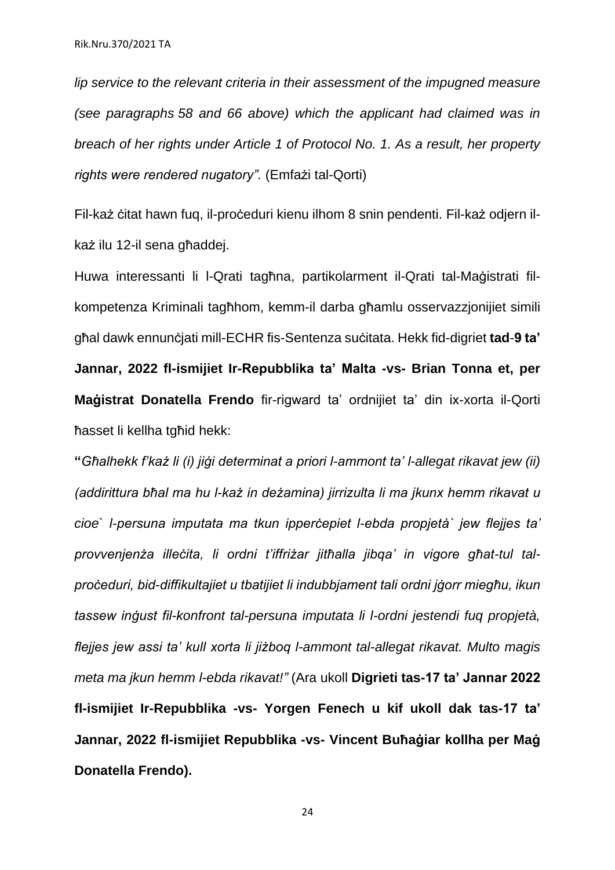*lip service to the relevant criteria in their assessment of the impugned measure (see paragraphs 58 and 66 above) which the applicant had claimed was in breach of her rights under Article 1 of Protocol No. 1. As a result, her property rights were rendered nugatory".* (Emfażi tal-Qorti)

Fil-każ ċitat hawn fuq, il-proċeduri kienu ilhom 8 snin pendenti. Fil-każ odjern ilkaż ilu 12-il sena għaddej.

Huwa interessanti li l-Qrati tagħna, partikolarment il-Qrati tal-Maġistrati filkompetenza Kriminali tagħhom, kemm-il darba għamlu osservazzjonijiet simili għal dawk ennunċjati mill-ECHR fis-Sentenza suċitata. Hekk fid-digriet **tad**-**9 ta' Jannar, 2022 fl-ismijiet Ir-Repubblika ta' Malta -vs- Brian Tonna et, per Maġistrat Donatella Frendo** fir-rigward ta' ordnijiet ta' din ix-xorta il-Qorti ħasset li kellha tgħid hekk:

**"***Għalhekk f'każ li (i) jiġi determinat a priori l-ammont ta' l-allegat rikavat jew (ii) (addirittura bħal ma hu l-każ in deżamina) jirrizulta li ma jkunx hemm rikavat u cioe` l-persuna imputata ma tkun ipperċepiet l-ebda propjetà` jew flejjes ta' provvenjenża illeċita, li ordni t'iffriżar jitħalla jibqa' in vigore għat-tul talproċeduri, bid-diffikultajiet u tbatijiet li indubbjament tali ordni jġorr miegħu, ikun tassew inġust fil-konfront tal-persuna imputata li l-ordni jestendi fuq propjetà, flejjes jew assi ta' kull xorta li jiżboq l-ammont tal-allegat rikavat. Multo magis meta ma jkun hemm l-ebda rikavat!"* (Ara ukoll **Digrieti tas-17 ta' Jannar 2022 fl-ismijiet Ir-Repubblika -vs- Yorgen Fenech u kif ukoll dak tas-17 ta' Jannar, 2022 fl-ismijiet Repubblika -vs- Vincent Buħaġiar kollha per Maġ Donatella Frendo).**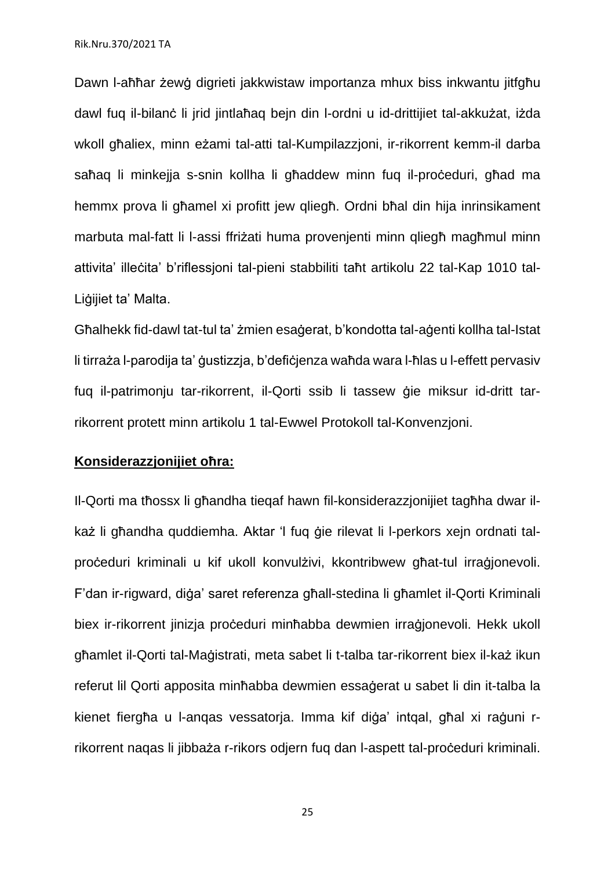Dawn l-aħħar żewġ digrieti jakkwistaw importanza mhux biss inkwantu jitfgħu dawl fuq il-bilanċ li jrid jintlaħaq bejn din l-ordni u id-drittijiet tal-akkużat, iżda wkoll għaliex, minn eżami tal-atti tal-Kumpilazzjoni, ir-rikorrent kemm-il darba saħaq li minkejja s-snin kollha li għaddew minn fuq il-proċeduri, għad ma hemmx prova li għamel xi profitt jew qliegħ. Ordni bħal din hija inrinsikament marbuta mal-fatt li l-assi ffriżati huma provenjenti minn qliegħ magħmul minn attivita' illeċita' b'riflessjoni tal-pieni stabbiliti taħt artikolu 22 tal-Kap 1010 tal-Liġijiet ta' Malta.

Għalhekk fid-dawl tat-tul ta' żmien esaġerat, b'kondotta tal-aġenti kollha tal-Istat li tirraża l-parodija ta' ġustizzja, b'defiċjenza waħda wara l-ħlas u l-effett pervasiv fuq il-patrimonju tar-rikorrent, il-Qorti ssib li tassew ġie miksur id-dritt tarrikorrent protett minn artikolu 1 tal-Ewwel Protokoll tal-Konvenzjoni.

#### **Konsiderazzjonijiet oħra:**

Il-Qorti ma tħossx li għandha tieqaf hawn fil-konsiderazzjonijiet tagħha dwar ilkaż li għandha quddiemha. Aktar 'l fuq ġie rilevat li l-perkors xejn ordnati talproċeduri kriminali u kif ukoll konvulżivi, kkontribwew għat-tul irraġjonevoli. F'dan ir-rigward, diġa' saret referenza għall-stedina li għamlet il-Qorti Kriminali biex ir-rikorrent jinizja proċeduri minħabba dewmien irraġjonevoli. Hekk ukoll għamlet il-Qorti tal-Maġistrati, meta sabet li t-talba tar-rikorrent biex il-każ ikun referut lil Qorti apposita minħabba dewmien essaġerat u sabet li din it-talba la kienet fiergħa u l-anqas vessatorja. Imma kif diġa' intqal, għal xi raġuni rrikorrent naqas li jibbaża r-rikors odjern fuq dan l-aspett tal-proċeduri kriminali.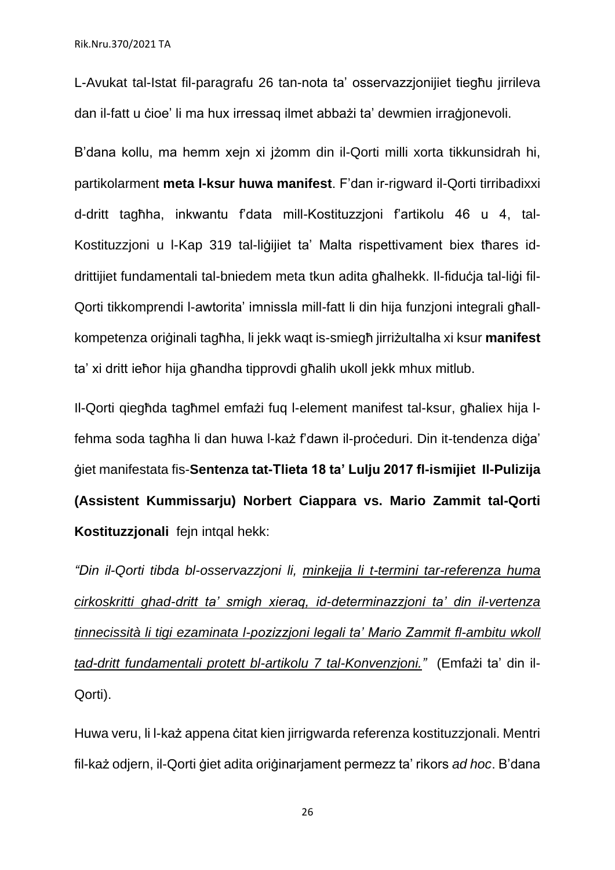L-Avukat tal-Istat fil-paragrafu 26 tan-nota ta' osservazzjonijiet tiegħu jirrileva dan il-fatt u ċioe' li ma hux irressaq ilmet abbażi ta' dewmien irraġjonevoli.

B'dana kollu, ma hemm xejn xi jżomm din il-Qorti milli xorta tikkunsidrah hi, partikolarment **meta l-ksur huwa manifest**. F'dan ir-rigward il-Qorti tirribadixxi d-dritt tagħha, inkwantu f'data mill-Kostituzzjoni f'artikolu 46 u 4, tal-Kostituzzjoni u l-Kap 319 tal-liġijiet ta' Malta rispettivament biex tħares iddrittijiet fundamentali tal-bniedem meta tkun adita għalhekk. Il-fiduċja tal-liġi fil-Qorti tikkomprendi l-awtorita' imnissla mill-fatt li din hija funzjoni integrali għallkompetenza oriġinali tagħha, li jekk waqt is-smiegħ jirriżultalha xi ksur **manifest** ta' xi dritt ieħor hija għandha tipprovdi għalih ukoll jekk mhux mitlub.

Il-Qorti qiegħda tagħmel emfażi fuq l-element manifest tal-ksur, għaliex hija lfehma soda tagħha li dan huwa l-każ f'dawn il-proċeduri. Din it-tendenza diġa' ġiet manifestata fis-**Sentenza tat-Tlieta 18 ta' Lulju 2017 fl-ismijiet Il-Pulizija (Assistent Kummissarju) Norbert Ciappara vs. Mario Zammit tal-Qorti Kostituzzjonali** fejn intqal hekk:

*"Din il-Qorti tibda bl-osservazzjoni li, minkejja li t-termini tar-referenza huma cirkoskritti ghad-dritt ta' smigh xieraq, id-determinazzjoni ta' din il-vertenza tinnecissità li tigi ezaminata l-pozizzjoni legali ta' Mario Zammit fl-ambitu wkoll tad-dritt fundamentali protett bl-artikolu 7 tal-Konvenzjoni."* (Emfażi ta' din il-Qorti).

Huwa veru, li l-każ appena ċitat kien jirrigwarda referenza kostituzzjonali. Mentri fil-każ odjern, il-Qorti ġiet adita oriġinarjament permezz ta' rikors *ad hoc*. B'dana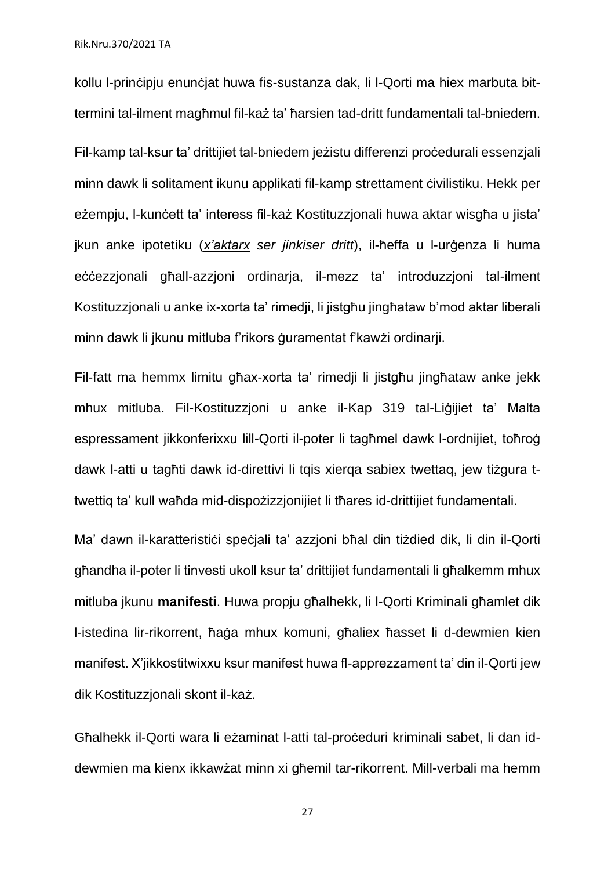kollu l-prinċipju enunċjat huwa fis-sustanza dak, li l-Qorti ma hiex marbuta bittermini tal-ilment magħmul fil-każ ta' ħarsien tad-dritt fundamentali tal-bniedem.

Fil-kamp tal-ksur ta' drittijiet tal-bniedem jeżistu differenzi proċedurali essenzjali minn dawk li solitament ikunu applikati fil-kamp strettament ċivilistiku. Hekk per eżempju, l-kunċett ta' interess fil-każ Kostituzzjonali huwa aktar wisgħa u jista' jkun anke ipotetiku (*x'aktarx ser jinkiser dritt*), il-ħeffa u l-urġenza li huma eċċezzjonali għall-azzjoni ordinarja, il-mezz ta' introduzzjoni tal-ilment Kostituzzjonali u anke ix-xorta ta' rimedji, li jistgħu jingħataw b'mod aktar liberali minn dawk li jkunu mitluba f'rikors ġuramentat f'kawżi ordinarji.

Fil-fatt ma hemmx limitu għax-xorta ta' rimedji li jistgħu jingħataw anke jekk mhux mitluba. Fil-Kostituzzjoni u anke il-Kap 319 tal-Liġijiet ta' Malta espressament jikkonferixxu lill-Qorti il-poter li tagħmel dawk l-ordnijiet, toħroġ dawk l-atti u tagħti dawk id-direttivi li tqis xierqa sabiex twettaq, jew tiżgura ttwettiq ta' kull waħda mid-dispożizzjonijiet li tħares id-drittijiet fundamentali.

Ma' dawn il-karatteristici speciali ta' azzioni bħal din tiżdied dik, li din il-Qorti għandha il-poter li tinvesti ukoll ksur ta' drittijiet fundamentali li għalkemm mhux mitluba jkunu **manifesti**. Huwa propju għalhekk, li l-Qorti Kriminali għamlet dik l-istedina lir-rikorrent, ħaġa mhux komuni, għaliex ħasset li d-dewmien kien manifest. X'jikkostitwixxu ksur manifest huwa fl-apprezzament ta' din il-Qorti jew dik Kostituzzjonali skont il-każ.

Għalhekk il-Qorti wara li eżaminat l-atti tal-proċeduri kriminali sabet, li dan iddewmien ma kienx ikkawżat minn xi għemil tar-rikorrent. Mill-verbali ma hemm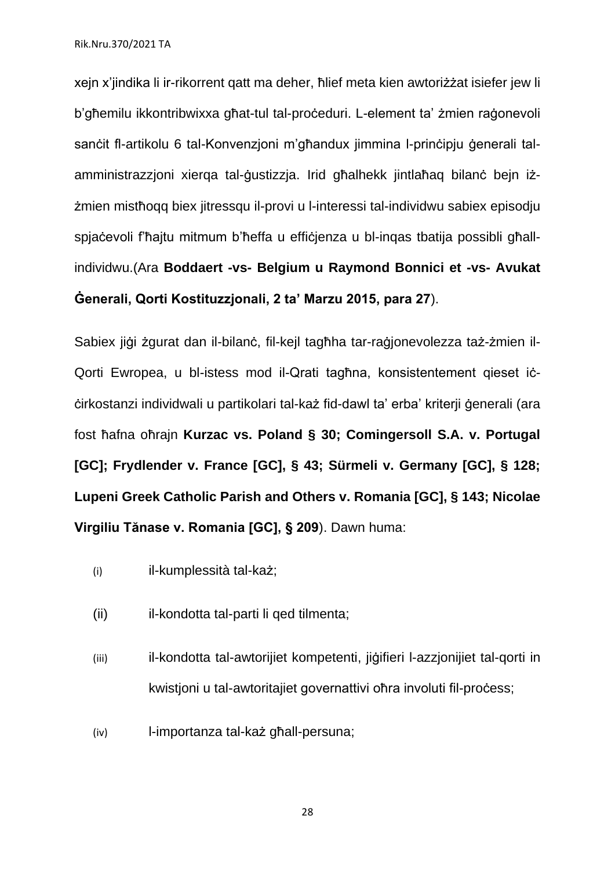xejn x'jindika li ir-rikorrent qatt ma deher, ħlief meta kien awtoriżżat isiefer jew li b'għemilu ikkontribwixxa għat-tul tal-proċeduri. L-element ta' żmien raġonevoli sanċit fl-artikolu 6 tal-Konvenzjoni m'għandux jimmina l-prinċipju ġenerali talamministrazzjoni xierqa tal-ġustizzja. Irid għalhekk jintlaħaq bilanċ bejn iżżmien mistħoqq biex jitressqu il-provi u l-interessi tal-individwu sabiex episodju spjaċevoli f'ħajtu mitmum b'ħeffa u effiċjenza u bl-inqas tbatija possibli għallindividwu.(Ara **Boddaert -vs- Belgium u Raymond Bonnici et -vs- Avukat Ġenerali, Qorti Kostituzzjonali, 2 ta' Marzu 2015, para 27**).

Sabiex iiġi żgurat dan il-bilanċ, fil-kejl tagħha tar-raġjonevolezza taż-żmien il-Qorti Ewropea, u bl-istess mod il-Qrati tagħna, konsistentement qieset iċċirkostanzi individwali u partikolari tal-każ fid-dawl ta' erba' kriterji ġenerali (ara fost ħafna oħrajn **Kurzac vs. Poland § 30; Comingersoll S.A. v. Portugal [GC]; Frydlender v. France [GC], § 43; Sürmeli v. Germany [GC], § 128; Lupeni Greek Catholic Parish and Others v. Romania [GC], § 143; Nicolae Virgiliu Tănase v. Romania [GC], § 209**). Dawn huma:

- (i) il-kumplessità tal-każ;
- (ii) il-kondotta tal-parti li qed tilmenta;
- (iii) il-kondotta tal-awtorijiet kompetenti, jiġifieri l-azzjonijiet tal-qorti in kwistjoni u tal-awtoritajiet governattivi oħra involuti fil-proċess;
- (iv) l-importanza tal-każ għall-persuna;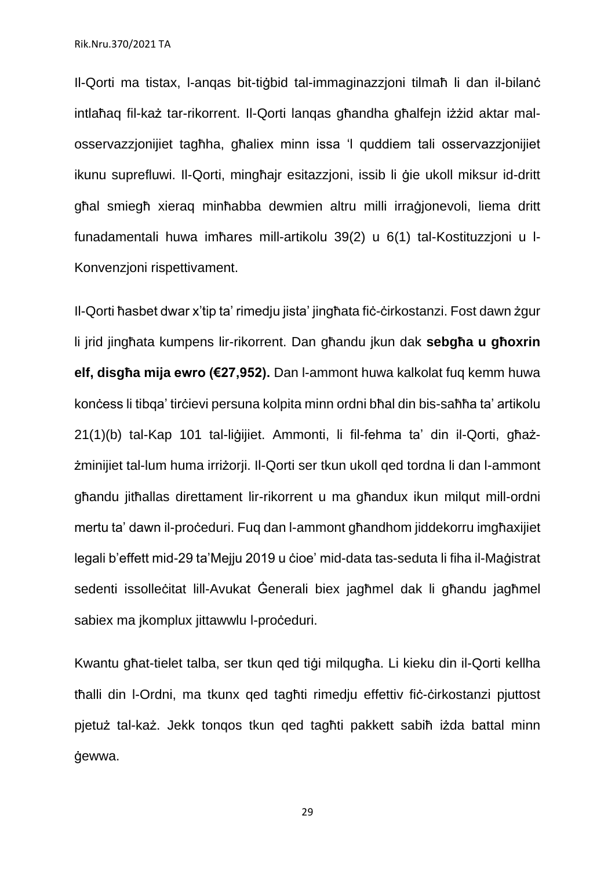Il-Qorti ma tistax, l-anqas bit-tiġbid tal-immaginazzjoni tilmaħ li dan il-bilanċ intlaħaq fil-każ tar-rikorrent. Il-Qorti lanqas għandha għalfejn iżżid aktar malosservazzjonijiet tagħha, għaliex minn issa 'l quddiem tali osservazzjonijiet ikunu suprefluwi. Il-Qorti, mingħajr esitazzjoni, issib li ġie ukoll miksur id-dritt għal smiegħ xieraq minħabba dewmien altru milli irraġjonevoli, liema dritt funadamentali huwa imħares mill-artikolu 39(2) u 6(1) tal-Kostituzzjoni u l-Konvenzjoni rispettivament.

Il-Qorti ħasbet dwar x'tip ta' rimedju jista' jingħata fiċ-ċirkostanzi. Fost dawn żgur li jrid jingħata kumpens lir-rikorrent. Dan għandu jkun dak **sebgħa u għoxrin elf, disgħa mija ewro (€27,952).** Dan l-ammont huwa kalkolat fuq kemm huwa konċess li tibqa' tirċievi persuna kolpita minn ordni bħal din bis-saħħa ta' artikolu 21(1)(b) tal-Kap 101 tal-liġijiet. Ammonti, li fil-fehma ta' din il-Qorti, għażżminijiet tal-lum huma irriżorji. Il-Qorti ser tkun ukoll qed tordna li dan l-ammont għandu jitħallas direttament lir-rikorrent u ma għandux ikun milqut mill-ordni mertu ta' dawn il-proċeduri. Fuq dan l-ammont għandhom jiddekorru imgħaxijiet legali b'effett mid-29 ta'Mejju 2019 u ċioe' mid-data tas-seduta li fiha il-Maġistrat sedenti issolleċitat lill-Avukat Ġenerali biex jagħmel dak li għandu jagħmel sabiex ma ikomplux jittawwlu l-proceduri.

Kwantu għat-tielet talba, ser tkun qed tiġi milqugħa. Li kieku din il-Qorti kellha tħalli din l-Ordni, ma tkunx qed tagħti rimedju effettiv fiċ-ċirkostanzi pjuttost pjetuż tal-każ. Jekk tonqos tkun qed tagħti pakkett sabiħ iżda battal minn ġewwa.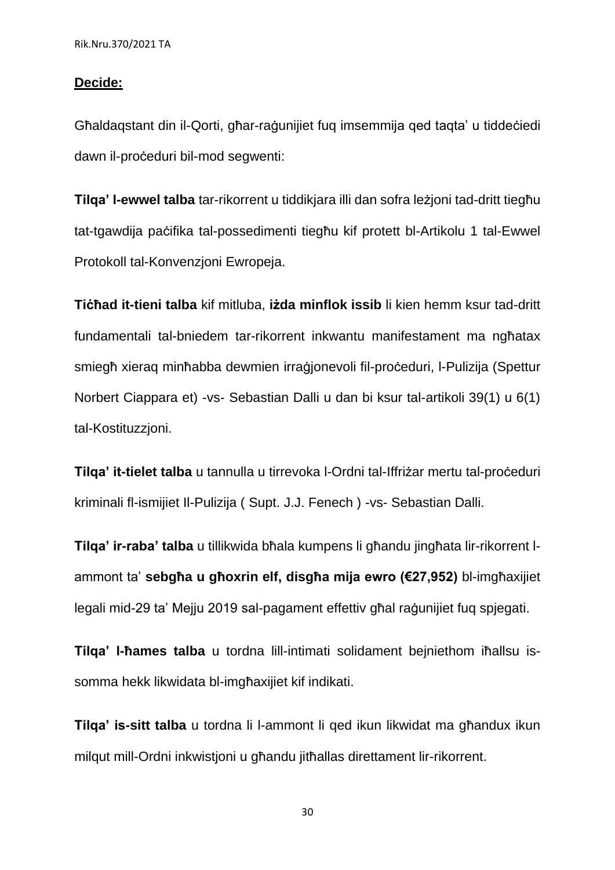#### **Decide:**

Għaldaqstant din il-Qorti, għar-raġunijiet fuq imsemmija qed taqta' u tiddeċiedi dawn il-proċeduri bil-mod segwenti:

**Tilqa' l-ewwel talba** tar-rikorrent u tiddikjara illi dan sofra leżjoni tad-dritt tiegħu tat-tgawdija paċifika tal-possedimenti tiegħu kif protett bl-Artikolu 1 tal-Ewwel Protokoll tal-Konvenzjoni Ewropeja.

**Tiċħad it-tieni talba** kif mitluba, **iżda minflok issib** li kien hemm ksur tad-dritt fundamentali tal-bniedem tar-rikorrent inkwantu manifestament ma ngħatax smiegħ xierag minħabba dewmien irraġjonevoli fil-proċeduri, l-Pulizija (Spettur Norbert Ciappara et) -vs- Sebastian Dalli u dan bi ksur tal-artikoli 39(1) u 6(1) tal-Kostituzzjoni.

**Tilqa' it-tielet talba** u tannulla u tirrevoka l-Ordni tal-Iffriżar mertu tal-proċeduri kriminali fl-ismijiet Il-Pulizija ( Supt. J.J. Fenech ) -vs- Sebastian Dalli.

**Tilqa' ir-raba' talba** u tillikwida bħala kumpens li għandu jingħata lir-rikorrent lammont ta' **sebgħa u għoxrin elf, disgħa mija ewro (€27,952)** bl-imgħaxijiet legali mid-29 ta' Mejju 2019 sal-pagament effettiv għal raġunijiet fuq spjegati.

**Tilqa' l-ħames talba** u tordna lill-intimati solidament bejniethom iħallsu issomma hekk likwidata bl-imgħaxijiet kif indikati.

**Tilqa' is-sitt talba** u tordna li l-ammont li qed ikun likwidat ma għandux ikun milgut mill-Ordni inkwistioni u għandu jitħallas direttament lir-rikorrent.